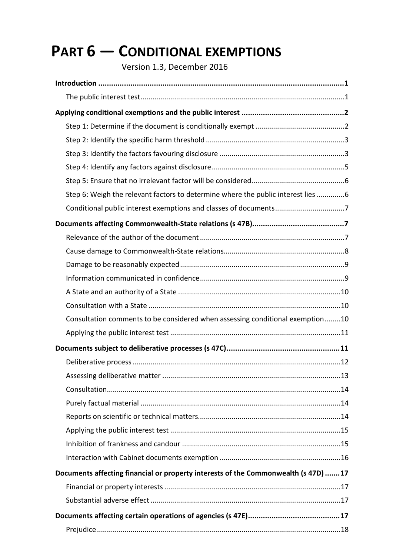# **PART 6 — CONDITIONAL EXEMPTIONS**

Version 1.3, December 2016

| Step 6: Weigh the relevant factors to determine where the public interest lies 6   |
|------------------------------------------------------------------------------------|
|                                                                                    |
|                                                                                    |
|                                                                                    |
|                                                                                    |
|                                                                                    |
|                                                                                    |
|                                                                                    |
|                                                                                    |
| Consultation comments to be considered when assessing conditional exemption10      |
|                                                                                    |
|                                                                                    |
|                                                                                    |
|                                                                                    |
|                                                                                    |
|                                                                                    |
|                                                                                    |
|                                                                                    |
|                                                                                    |
|                                                                                    |
| Documents affecting financial or property interests of the Commonwealth (s 47D) 17 |
|                                                                                    |
|                                                                                    |
|                                                                                    |
|                                                                                    |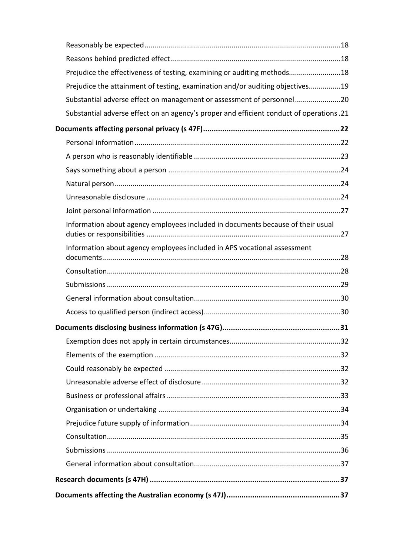| Prejudice the effectiveness of testing, examining or auditing methods18                 |  |
|-----------------------------------------------------------------------------------------|--|
| Prejudice the attainment of testing, examination and/or auditing objectives19           |  |
| Substantial adverse effect on management or assessment of personnel20                   |  |
| Substantial adverse effect on an agency's proper and efficient conduct of operations.21 |  |
|                                                                                         |  |
|                                                                                         |  |
|                                                                                         |  |
|                                                                                         |  |
|                                                                                         |  |
|                                                                                         |  |
|                                                                                         |  |
| Information about agency employees included in documents because of their usual         |  |
| Information about agency employees included in APS vocational assessment                |  |
|                                                                                         |  |
|                                                                                         |  |
|                                                                                         |  |
|                                                                                         |  |
|                                                                                         |  |
|                                                                                         |  |
|                                                                                         |  |
|                                                                                         |  |
|                                                                                         |  |
|                                                                                         |  |
|                                                                                         |  |
|                                                                                         |  |
|                                                                                         |  |
|                                                                                         |  |
|                                                                                         |  |
|                                                                                         |  |
|                                                                                         |  |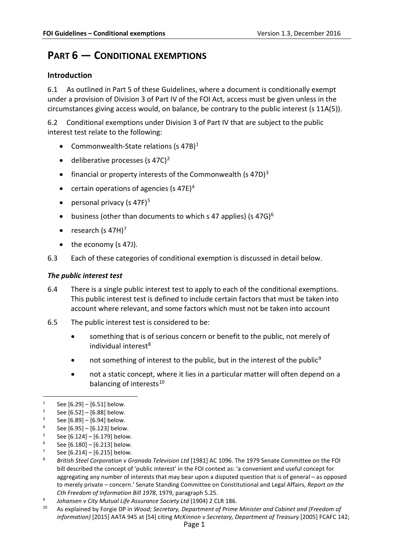## **PART 6 — CONDITIONAL EXEMPTIONS**

## <span id="page-2-0"></span>**Introduction**

6.1 As outlined in Part 5 of these Guidelines, where a document is conditionally exempt under a provision of Division 3 of Part IV of the FOI Act, access must be given unless in the circumstances giving access would, on balance, be contrary to the public interest (s 11A(5)).

<span id="page-2-12"></span>6.2 Conditional exemptions under Division 3 of Part IV that are subject to the public interest test relate to the following:

- Commonwealth-State relations (s 47B)<sup>[1](#page-2-2)</sup>
- deliberative processes (s 47C)<sup>[2](#page-2-3)</sup>
- financial or property interests of the Commonwealth (s 47D)<sup>[3](#page-2-4)</sup>
- certain operations of agencies (s [4](#page-2-5)7E)<sup>4</sup>
- personal privacy (s 47F) $5$
- business (other than documents to which s 47 applies) (s  $47\text{G}$ )<sup>[6](#page-2-7)</sup>
- research (s  $47H$  $47H$  $47H$ )<sup>7</sup>
- the economy (s 47J).
- 6.3 Each of these categories of conditional exemption is discussed in detail below.

#### <span id="page-2-1"></span>*The public interest test*

- 6.4 There is a single public interest test to apply to each of the conditional exemptions. This public interest test is defined to include certain factors that must be taken into account where relevant, and some factors which must not be taken into account
- 6.5 The public interest test is considered to be:
	- something that is of serious concern or benefit to the public, not merely of individual interest $8$
	- not something of interest to the public, but in the interest of the public<sup>[9](#page-2-10)</sup>
	- not a static concept, where it lies in a particular matter will often depend on a balancing of interests<sup>[10](#page-2-11)</sup>

- <span id="page-2-6"></span> $5$  See [\[6.124\]](#page-23-3) – [\[6.179\]](#page-32-1) below.<br> $6$  See [6.180] – [6.213] below
- <span id="page-2-7"></span> $6$  See [\[6.180\]](#page-32-2) – [\[6.213\]](#page-38-3) below.
- <span id="page-2-8"></span> $7$  See [\[6.214\]](#page-38-4) – [\[6.215\]](#page-38-5) below.

- <span id="page-2-10"></span><sup>9</sup> *Johansen v City Mutual Life Assurance Society Ltd* (1904) 2 CLR 186.
- <span id="page-2-11"></span><sup>10</sup> As explained by Forgie DP in *Wood; Secretary, Department of Prime Minister and Cabinet and (Freedom of information)* [2015] AATA 945 at [54] citing *McKinnon v Secretary, Department of Treasury* [2005] FCAFC 142;

<span id="page-2-2"></span><sup>&</sup>lt;sup>1</sup> See [\[6.29\]](#page-8-3) – [\[6.51\]](#page-12-2) below.<br><sup>2</sup> See [6.52] – [6.88] below.

<span id="page-2-4"></span><span id="page-2-3"></span><sup>&</sup>lt;sup>2</sup> See [\[6.52\]](#page-12-3) – [\[6.88\]](#page-17-1) below.

See [\[6.89\]](#page-18-4) – [\[6.94\]](#page-18-5) below.

<span id="page-2-5"></span><sup>&</sup>lt;sup>4</sup> See [\[6.95\]](#page-18-6) – [\[6.123\]](#page-23-2) below.

<span id="page-2-9"></span><sup>8</sup> *British Steel Corporation v Granada Television Ltd* [1981] AC 1096. The 1979 Senate Committee on the FOI bill described the concept of 'public interest' in the FOI context as: 'a convenient and useful concept for aggregating any number of interests that may bear upon a disputed question that is of general – as opposed to merely private – concern.' Senate Standing Committee on Constitutional and Legal Affairs, *Report on the Cth Freedom of Information Bill 1978*, 1979, paragraph 5.25.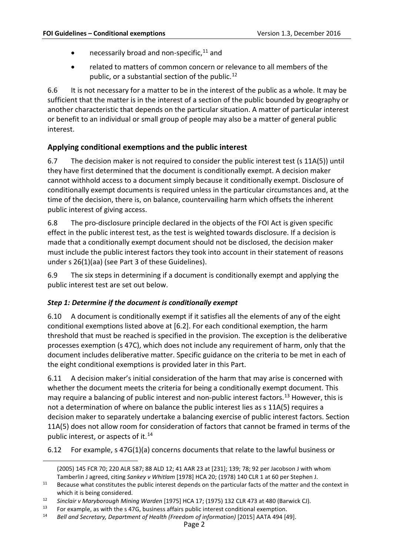- necessarily broad and non-specific,<sup>[11](#page-3-2)</sup> and
- related to matters of common concern or relevance to all members of the public, or a substantial section of the public.<sup>12</sup>

6.6 It is not necessary for a matter to be in the interest of the public as a whole. It may be sufficient that the matter is in the interest of a section of the public bounded by geography or another characteristic that depends on the particular situation. A matter of particular interest or benefit to an individual or small group of people may also be a matter of general public interest.

## <span id="page-3-0"></span>**Applying conditional exemptions and the public interest**

6.7 The decision maker is not required to consider the public interest test (s 11A(5)) until they have first determined that the document is conditionally exempt. A decision maker cannot withhold access to a document simply because it conditionally exempt. Disclosure of conditionally exempt documents is required unless in the particular circumstances and, at the time of the decision, there is, on balance, countervailing harm which offsets the inherent public interest of giving access.

6.8 The pro-disclosure principle declared in the objects of the FOI Act is given specific effect in the public interest test, as the test is weighted towards disclosure. If a decision is made that a conditionally exempt document should not be disclosed, the decision maker must include the public interest factors they took into account in their statement of reasons under s 26(1)(aa) (see Part 3 of these Guidelines).

6.9 The six steps in determining if a document is conditionally exempt and applying the public interest test are set out below.

## <span id="page-3-1"></span>*Step 1: Determine if the document is conditionally exempt*

 $\overline{a}$ 

6.10 A document is conditionally exempt if it satisfies all the elements of any of the eight conditional exemptions listed above at [\[6.2\]](#page-2-12). For each conditional exemption, the harm threshold that must be reached is specified in the provision. The exception is the deliberative processes exemption (s 47C), which does not include any requirement of harm, only that the document includes deliberative matter. Specific guidance on the criteria to be met in each of the eight conditional exemptions is provided later in this Part.

6.11 A decision maker's initial consideration of the harm that may arise is concerned with whether the document meets the criteria for being a conditionally exempt document. This may require a balancing of public interest and non-public interest factors.<sup>[13](#page-3-4)</sup> However, this is not a determination of where on balance the public interest lies as s 11A(5) requires a decision maker to separately undertake a balancing exercise of public interest factors. Section 11A(5) does not allow room for consideration of factors that cannot be framed in terms of the public interest, or aspects of it. $14$ 

6.12 For example, s 47G(1)(a) concerns documents that relate to the lawful business or

<sup>(2005) 145</sup> FCR 70; 220 ALR 587; 88 ALD 12; 41 AAR 23 at [231]; 139; 78; 92 per Jacobson J with whom Tamberlin J agreed, citing *Sankey v Whitlam* [1978] HCA 20; (1978) 140 CLR 1 at 60 per Stephen J.

<span id="page-3-2"></span><sup>&</sup>lt;sup>11</sup> Because what constitutes the public interest depends on the particular facts of the matter and the context in which it is being considered.

<span id="page-3-3"></span><sup>12</sup> *Sinclair v Maryborough Mining Warden* [1975] HCA 17; (1975) 132 CLR 473 at 480 (Barwick CJ).

<span id="page-3-5"></span><span id="page-3-4"></span><sup>&</sup>lt;sup>13</sup> For example, as with the s 47G, business affairs public interest conditional exemption.<br><sup>14</sup> Bell and Secretary, Denartment of Health (Freedom of information) [2015] AATA 494 [4

<sup>14</sup> *Bell and Secretary, Department of Health (Freedom of information)* [2015] AATA 494 [49].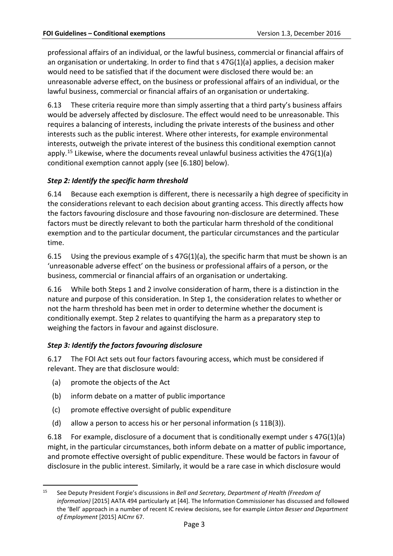professional affairs of an individual, or the lawful business, commercial or financial affairs of an organisation or undertaking. In order to find that s 47G(1)(a) applies, a decision maker would need to be satisfied that if the document were disclosed there would be: an unreasonable adverse effect, on the business or professional affairs of an individual, or the lawful business, commercial or financial affairs of an organisation or undertaking.

6.13 These criteria require more than simply asserting that a third party's business affairs would be adversely affected by disclosure. The effect would need to be unreasonable. This requires a balancing of interests, including the private interests of the business and other interests such as the public interest. Where other interests, for example environmental interests, outweigh the private interest of the business this conditional exemption cannot apply.<sup>[15](#page-4-2)</sup> Likewise, where the documents reveal unlawful business activities the  $47G(1)(a)$ conditional exemption cannot apply (see [\[6.180\]](#page-32-2) below).

## <span id="page-4-0"></span>*Step 2: Identify the specific harm threshold*

6.14 Because each exemption is different, there is necessarily a high degree of specificity in the considerations relevant to each decision about granting access. This directly affects how the factors favouring disclosure and those favouring non-disclosure are determined. These factors must be directly relevant to both the particular harm threshold of the conditional exemption and to the particular document, the particular circumstances and the particular time.

6.15 Using the previous example of s 47G(1)(a), the specific harm that must be shown is an 'unreasonable adverse effect' on the business or professional affairs of a person, or the business, commercial or financial affairs of an organisation or undertaking.

6.16 While both Steps 1 and 2 involve consideration of harm, there is a distinction in the nature and purpose of this consideration. In Step 1, the consideration relates to whether or not the harm threshold has been met in order to determine whether the document is conditionally exempt. Step 2 relates to quantifying the harm as a preparatory step to weighing the factors in favour and against disclosure.

## <span id="page-4-1"></span>*Step 3: Identify the factors favouring disclosure*

<span id="page-4-3"></span>6.17 The FOI Act sets out four factors favouring access, which must be considered if relevant. They are that disclosure would:

- (a) promote the objects of the Act
- (b) inform debate on a matter of public importance
- (c) promote effective oversight of public expenditure
- (d) allow a person to access his or her personal information (s 11B(3)).

6.18 For example, disclosure of a document that is conditionally exempt under s 47G(1)(a) might, in the particular circumstances, both inform debate on a matter of public importance, and promote effective oversight of public expenditure. These would be factors in favour of disclosure in the public interest. Similarly, it would be a rare case in which disclosure would

<span id="page-4-2"></span> <sup>15</sup> See Deputy President Forgie's discussions in *Bell and Secretary, Department of Health (Freedom of information)* [2015] AATA 494 particularly at [44]. The Information Commissioner has discussed and followed the 'Bell' approach in a number of recent IC review decisions, see for example *Linton Besser and Department of Employment* [2015] AICmr 67.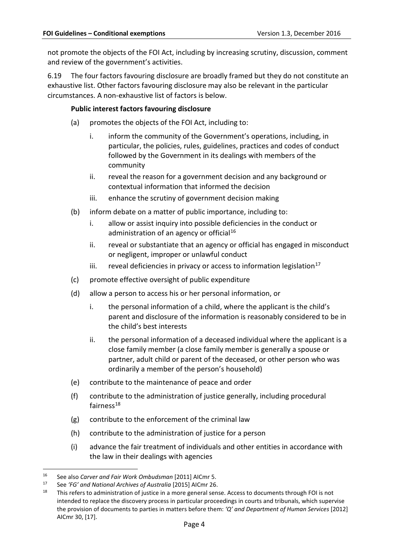not promote the objects of the FOI Act, including by increasing scrutiny, discussion, comment and review of the government's activities.

6.19 The four factors favouring disclosure are broadly framed but they do not constitute an exhaustive list. Other factors favouring disclosure may also be relevant in the particular circumstances. A non-exhaustive list of factors is below.

#### **Public interest factors favouring disclosure**

- (a) promotes the objects of the FOI Act, including to:
	- i. inform the community of the Government's operations, including, in particular, the policies, rules, guidelines, practices and codes of conduct followed by the Government in its dealings with members of the community
	- ii. reveal the reason for a government decision and any background or contextual information that informed the decision
	- iii. enhance the scrutiny of government decision making
- (b) inform debate on a matter of public importance, including to:
	- i. allow or assist inquiry into possible deficiencies in the conduct or administration of an agency or official<sup>[16](#page-5-0)</sup>
	- ii. reveal or substantiate that an agency or official has engaged in misconduct or negligent, improper or unlawful conduct
	- iii. reveal deficiencies in privacy or access to information legislation<sup>[17](#page-5-1)</sup>
- (c) promote effective oversight of public expenditure
- (d) allow a person to access his or her personal information, or
	- i. the personal information of a child, where the applicant is the child's parent and disclosure of the information is reasonably considered to be in the child's best interests
	- ii. the personal information of a deceased individual where the applicant is a close family member (a close family member is generally a spouse or partner, adult child or parent of the deceased, or other person who was ordinarily a member of the person's household)
- (e) contribute to the maintenance of peace and order
- (f) contribute to the administration of justice generally, including procedural fairness<sup>18</sup>
- (g) contribute to the enforcement of the criminal law
- (h) contribute to the administration of justice for a person
- (i) advance the fair treatment of individuals and other entities in accordance with the law in their dealings with agencies

<span id="page-5-0"></span> <sup>16</sup> See also *Carver and Fair Work Ombudsman* [2011] AICmr 5.

<span id="page-5-1"></span><sup>17</sup> See *'FG' and National Archives of Australia* [\[2015\] AICmr 26.](http://www.austlii.edu.au/au/cases/cth/AICmr/2015/26.html)

<span id="page-5-2"></span><sup>&</sup>lt;sup>18</sup> This refers to administration of justice in a more general sense. Access to documents through FOI is not intended to replace the discovery process in particular proceedings in courts and tribunals, which supervise the provision of documents to parties in matters before them: *'Q' and Department of Human Services* [2012] AICmr 30, [17].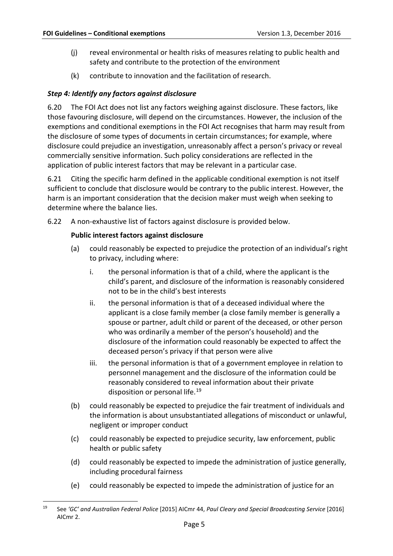- (j) reveal environmental or health risks of measures relating to public health and safety and contribute to the protection of the environment
- (k) contribute to innovation and the facilitation of research.

## <span id="page-6-0"></span>*Step 4: Identify any factors against disclosure*

6.20 The FOI Act does not list any factors weighing against disclosure. These factors, like those favouring disclosure, will depend on the circumstances. However, the inclusion of the exemptions and conditional exemptions in the FOI Act recognises that harm may result from the disclosure of some types of documents in certain circumstances; for example, where disclosure could prejudice an investigation, unreasonably affect a person's privacy or reveal commercially sensitive information. Such policy considerations are reflected in the application of public interest factors that may be relevant in a particular case.

6.21 Citing the specific harm defined in the applicable conditional exemption is not itself sufficient to conclude that disclosure would be contrary to the public interest. However, the harm is an important consideration that the decision maker must weigh when seeking to determine where the balance lies.

<span id="page-6-2"></span>6.22 A non-exhaustive list of factors against disclosure is provided below.

#### **Public interest factors against disclosure**

- (a) could reasonably be expected to prejudice the protection of an individual's right to privacy, including where:
	- i. the personal information is that of a child, where the applicant is the child's parent, and disclosure of the information is reasonably considered not to be in the child's best interests
	- ii. the personal information is that of a deceased individual where the applicant is a close family member (a close family member is generally a spouse or partner, adult child or parent of the deceased, or other person who was ordinarily a member of the person's household) and the disclosure of the information could reasonably be expected to affect the deceased person's privacy if that person were alive
	- iii. the personal information is that of a government employee in relation to personnel management and the disclosure of the information could be reasonably considered to reveal information about their private disposition or personal life.<sup>[19](#page-6-1)</sup>
- (b) could reasonably be expected to prejudice the fair treatment of individuals and the information is about unsubstantiated allegations of misconduct or unlawful, negligent or improper conduct
- (c) could reasonably be expected to prejudice security, law enforcement, public health or public safety
- (d) could reasonably be expected to impede the administration of justice generally, including procedural fairness
- (e) could reasonably be expected to impede the administration of justice for an

<span id="page-6-1"></span> <sup>19</sup> See *'GC' and Australian Federal Police* [2015] AICmr 44, *Paul Cleary and Special Broadcasting Service* [2016] AICmr 2.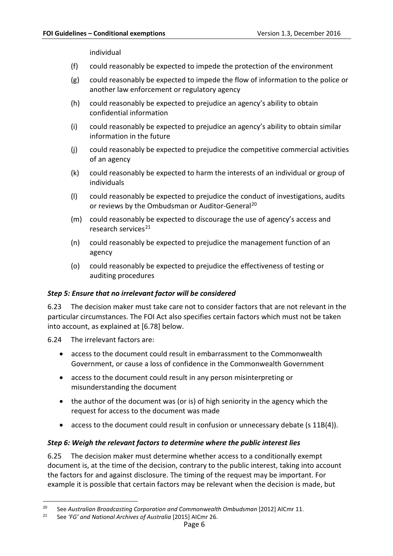individual

- (f) could reasonably be expected to impede the protection of the environment
- (g) could reasonably be expected to impede the flow of information to the police or another law enforcement or regulatory agency
- (h) could reasonably be expected to prejudice an agency's ability to obtain confidential information
- (i) could reasonably be expected to prejudice an agency's ability to obtain similar information in the future
- (j) could reasonably be expected to prejudice the competitive commercial activities of an agency
- (k) could reasonably be expected to harm the interests of an individual or group of individuals
- (l) could reasonably be expected to prejudice the conduct of investigations, audits or reviews by the Ombudsman or Auditor-General<sup>[20](#page-7-2)</sup>
- (m) could reasonably be expected to discourage the use of agency's access and research services $^{21}$  $^{21}$  $^{21}$
- (n) could reasonably be expected to prejudice the management function of an agency
- (o) could reasonably be expected to prejudice the effectiveness of testing or auditing procedures

#### <span id="page-7-0"></span>*Step 5: Ensure that no irrelevant factor will be considered*

6.23 The decision maker must take care not to consider factors that are not relevant in the particular circumstances. The FOI Act also specifies certain factors which must not be taken into account, as explained at [\[6.78\]](#page-16-2) below.

<span id="page-7-4"></span>6.24 The irrelevant factors are:

- access to the document could result in embarrassment to the Commonwealth Government, or cause a loss of confidence in the Commonwealth Government
- access to the document could result in any person misinterpreting or misunderstanding the document
- the author of the document was (or is) of high seniority in the agency which the request for access to the document was made
- access to the document could result in confusion or unnecessary debate (s 11B(4)).

#### <span id="page-7-1"></span>*Step 6: Weigh the relevant factors to determine where the public interest lies*

6.25 The decision maker must determine whether access to a conditionally exempt document is, at the time of the decision, contrary to the public interest, taking into account the factors for and against disclosure. The timing of the request may be important. For example it is possible that certain factors may be relevant when the decision is made, but

<span id="page-7-2"></span> <sup>20</sup> See *Australian Broadcasting Corporation and Commonwealth Ombudsman* [2012] AICmr 11.

<span id="page-7-3"></span><sup>21</sup> See *'FG' and National Archives of Australia* [\[2015\] AICmr 26.](http://www.austlii.edu.au/au/cases/cth/AICmr/2015/26.html)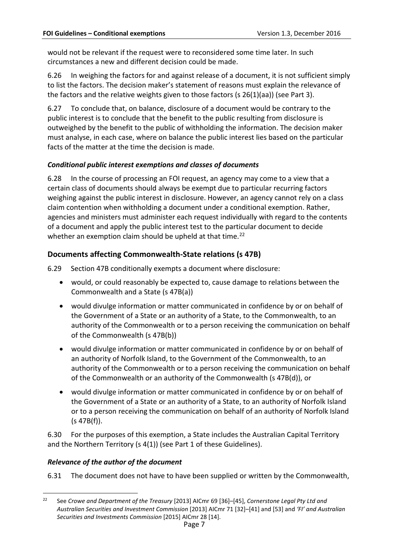would not be relevant if the request were to reconsidered some time later. In such circumstances a new and different decision could be made.

6.26 In weighing the factors for and against release of a document, it is not sufficient simply to list the factors. The decision maker's statement of reasons must explain the relevance of the factors and the relative weights given to those factors (s  $26(1)(aa)$ ) (see Part 3).

6.27 To conclude that, on balance, disclosure of a document would be contrary to the public interest is to conclude that the benefit to the public resulting from disclosure is outweighed by the benefit to the public of withholding the information. The decision maker must analyse, in each case, where on balance the public interest lies based on the particular facts of the matter at the time the decision is made.

#### <span id="page-8-0"></span>*Conditional public interest exemptions and classes of documents*

<span id="page-8-5"></span>6.28 In the course of processing an FOI request, an agency may come to a view that a certain class of documents should always be exempt due to particular recurring factors weighing against the public interest in disclosure. However, an agency cannot rely on a class claim contention when withholding a document under a conditional exemption. Rather, agencies and ministers must administer each request individually with regard to the contents of a document and apply the public interest test to the particular document to decide whether an exemption claim should be upheld at that time.<sup>[22](#page-8-4)</sup>

## <span id="page-8-1"></span>**Documents affecting Commonwealth-State relations (s 47B)**

<span id="page-8-3"></span>6.29 Section 47B conditionally exempts a document where disclosure:

- would, or could reasonably be expected to, cause damage to relations between the Commonwealth and a State (s 47B(a))
- would divulge information or matter communicated in confidence by or on behalf of the Government of a State or an authority of a State, to the Commonwealth, to an authority of the Commonwealth or to a person receiving the communication on behalf of the Commonwealth (s 47B(b))
- would divulge information or matter communicated in confidence by or on behalf of an authority of Norfolk Island, to the Government of the Commonwealth, to an authority of the Commonwealth or to a person receiving the communication on behalf of the Commonwealth or an authority of the Commonwealth (s 47B(d)), or
- would divulge information or matter communicated in confidence by or on behalf of the Government of a State or an authority of a State, to an authority of Norfolk Island or to a person receiving the communication on behalf of an authority of Norfolk Island (s 47B(f)).

6.30 For the purposes of this exemption, a State includes the Australian Capital Territory and the Northern Territory (s 4(1)) (see Part 1 of these Guidelines).

#### <span id="page-8-2"></span>*Relevance of the author of the document*

6.31 The document does not have to have been supplied or written by the Commonwealth,

<span id="page-8-4"></span> <sup>22</sup> See *Crowe and Department of the Treasury* [2013] AICmr 69 [36]–[45], *Cornerstone Legal Pty Ltd and Australian Securities and Investment Commission* [2013] AICmr 71 [32]–[41] and [53] and *'FI' and Australian Securities and Investments Commission* [2015] AICmr 28 [14].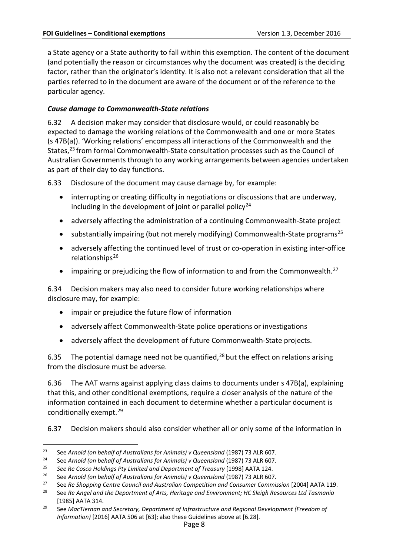a State agency or a State authority to fall within this exemption. The content of the document (and potentially the reason or circumstances why the document was created) is the deciding factor, rather than the originator's identity. It is also not a relevant consideration that all the parties referred to in the document are aware of the document or of the reference to the particular agency.

#### <span id="page-9-0"></span>*Cause damage to Commonwealth-State relations*

6.32 A decision maker may consider that disclosure would, or could reasonably be expected to damage the working relations of the Commonwealth and one or more States (s 47B(a)). 'Working relations' encompass all interactions of the Commonwealth and the States,<sup>23</sup> from formal Commonwealth-State consultation processes such as the Council of Australian Governments through to any working arrangements between agencies undertaken as part of their day to day functions.

6.33 Disclosure of the document may cause damage by, for example:

- interrupting or creating difficulty in negotiations or discussions that are underway, including in the development of joint or parallel policy<sup>[24](#page-9-2)</sup>
- adversely affecting the administration of a continuing Commonwealth-State project
- substantially impairing (but not merely modifying) Commonwealth-State programs<sup>[25](#page-9-3)</sup>
- adversely affecting the continued level of trust or co-operation in existing inter-office relationships $^{26}$  $^{26}$  $^{26}$
- impairing or prejudicing the flow of information to and from the Commonwealth.<sup>[27](#page-9-5)</sup>

6.34 Decision makers may also need to consider future working relationships where disclosure may, for example:

- impair or prejudice the future flow of information
- adversely affect Commonwealth-State police operations or investigations
- adversely affect the development of future Commonwealth-State projects.

6.35 The potential damage need not be quantified,  $28$  but the effect on relations arising from the disclosure must be adverse.

6.36 The AAT warns against applying class claims to documents under s 47B(a), explaining that this, and other conditional exemptions, require a closer analysis of the nature of the information contained in each document to determine whether a particular document is conditionally exempt. [29](#page-9-7)

6.37 Decision makers should also consider whether all or only some of the information in

<span id="page-9-1"></span> <sup>23</sup> See *Arnold (on behalf of Australians for Animals) v Queensland* (1987) 73 ALR 607.

<span id="page-9-2"></span><sup>24</sup> See *Arnold (on behalf of Australians for Animals) v Queensland* (1987) 73 ALR 607.

<span id="page-9-3"></span><sup>25</sup> *See Re Cosco Holdings Pty Limited and Department of Treasury* [1998] AATA 124.

<span id="page-9-4"></span><sup>26</sup> See *Arnold (on behalf of Australians for Animals) v Queensland* (1987) 73 ALR 607.

<span id="page-9-6"></span><span id="page-9-5"></span><sup>27</sup> See *Re Shopping Centre Council and Australian Competition and Consumer Commission* [2004] AATA 119.

<sup>28</sup> See *Re Angel and the Department of Arts, Heritage and Environment; HC Sleigh Resources Ltd Tasmania*  [1985] AATA 314.

<span id="page-9-7"></span><sup>29</sup> See *MacTiernan and Secretary, Department of Infrastructure and Regional Development (Freedom of Information)* [2016] AATA 506 at [63]; also these Guidelines above at [\[6.28\]](#page-8-5).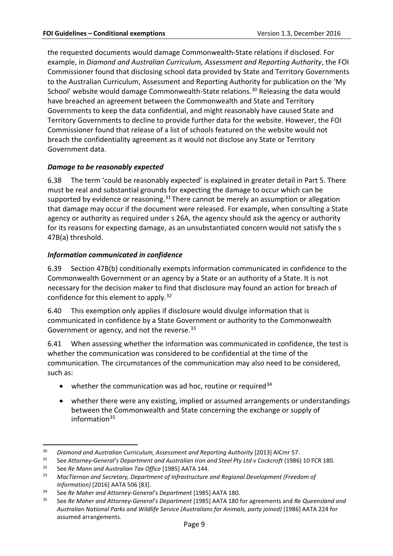the requested documents would damage Commonwealth-State relations if disclosed. For example, in *Diamond and Australian Curriculum, Assessment and Reporting Authority*, the FOI Commissioner found that disclosing school data provided by State and Territory Governments to the Australian Curriculum, Assessment and Reporting Authority for publication on the 'My School' website would damage Commonwealth-State relations.<sup>[30](#page-10-2)</sup> Releasing the data would have breached an agreement between the Commonwealth and State and Territory Governments to keep the data confidential, and might reasonably have caused State and Territory Governments to decline to provide further data for the website. However, the FOI Commissioner found that release of a list of schools featured on the website would not breach the confidentiality agreement as it would not disclose any State or Territory Government data.

## <span id="page-10-0"></span>*Damage to be reasonably expected*

6.38 The term 'could be reasonably expected' is explained in greater detail in Part 5. There must be real and substantial grounds for expecting the damage to occur which can be supported by evidence or reasoning.<sup>[31](#page-10-3)</sup> There cannot be merely an assumption or allegation that damage may occur if the document were released. For example, when consulting a State agency or authority as required under s 26A, the agency should ask the agency or authority for its reasons for expecting damage, as an unsubstantiated concern would not satisfy the s 47B(a) threshold.

#### <span id="page-10-1"></span>*Information communicated in confidence*

6.39 Section 47B(b) conditionally exempts information communicated in confidence to the Commonwealth Government or an agency by a State or an authority of a State. It is not necessary for the decision maker to find that disclosure may found an action for breach of confidence for this element to apply.<sup>[32](#page-10-4)</sup>

6.40 This exemption only applies if disclosure would divulge information that is communicated in confidence by a State Government or authority to the Commonwealth Government or agency, and not the reverse.<sup>[33](#page-10-5)</sup>

6.41 When assessing whether the information was communicated in confidence, the test is whether the communication was considered to be confidential at the time of the communication. The circumstances of the communication may also need to be considered, such as:

- whether the communication was ad hoc, routine or required  $34$
- whether there were any existing, implied or assumed arrangements or understandings between the Commonwealth and State concerning the exchange or supply of information $35$

<span id="page-10-3"></span><span id="page-10-2"></span><sup>&</sup>lt;sup>30</sup> Diamond and Australian Curriculum, Assessment and Reporting Authority [2013] AlCmr 57.<br><sup>31</sup> See Attorney-General's Department and Australian Iron and Steel Pty Ltd v Cockcroft (1986) 10 FCR 180.

<span id="page-10-4"></span><sup>32</sup> See *Re Mann and Australian Tax Office* [1985] AATA 144.

<span id="page-10-5"></span><sup>33</sup> *MacTiernan and Secretary, Department of Infrastructure and Regional Development (Freedom of Information)* [2016] AATA 506 [83].

<span id="page-10-6"></span><sup>34</sup> See *Re Maher and Attorney-General's Department* [1985] AATA 180.

<span id="page-10-7"></span><sup>35</sup> See *Re Maher and Attorney-General's Department* [1985] AATA 180 for agreements and *Re Queensland and Australian National Parks and Wildlife Service (Australians for Animals, party joined)* [1986] AATA 224 for assumed arrangements.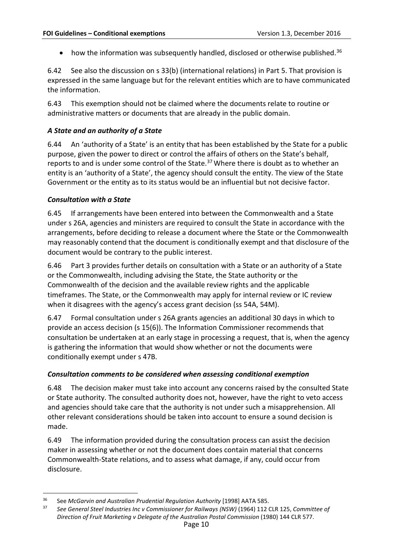• how the information was subsequently handled, disclosed or otherwise published.<sup>[36](#page-11-3)</sup>

6.42 See also the discussion on s 33(b) (international relations) in Part 5. That provision is expressed in the same language but for the relevant entities which are to have communicated the information.

6.43 This exemption should not be claimed where the documents relate to routine or administrative matters or documents that are already in the public domain.

#### <span id="page-11-0"></span>*A State and an authority of a State*

6.44 An 'authority of a State' is an entity that has been established by the State for a public purpose, given the power to direct or control the affairs of others on the State's behalf, reports to and is under some control of the State.<sup>[37](#page-11-4)</sup> Where there is doubt as to whether an entity is an 'authority of a State', the agency should consult the entity. The view of the State Government or the entity as to its status would be an influential but not decisive factor.

#### <span id="page-11-1"></span>*Consultation with a State*

6.45 If arrangements have been entered into between the Commonwealth and a State under s 26A, agencies and ministers are required to consult the State in accordance with the arrangements, before deciding to release a document where the State or the Commonwealth may reasonably contend that the document is conditionally exempt and that disclosure of the document would be contrary to the public interest.

6.46 Part 3 provides further details on consultation with a State or an authority of a State or the Commonwealth, including advising the State, the State authority or the Commonwealth of the decision and the available review rights and the applicable timeframes. The State, or the Commonwealth may apply for internal review or IC review when it disagrees with the agency's access grant decision (ss 54A, 54M).

6.47 Formal consultation under s 26A grants agencies an additional 30 days in which to provide an access decision (s 15(6)). The Information Commissioner recommends that consultation be undertaken at an early stage in processing a request, that is, when the agency is gathering the information that would show whether or not the documents were conditionally exempt under s 47B.

#### <span id="page-11-2"></span>*Consultation comments to be considered when assessing conditional exemption*

6.48 The decision maker must take into account any concerns raised by the consulted State or State authority. The consulted authority does not, however, have the right to veto access and agencies should take care that the authority is not under such a misapprehension. All other relevant considerations should be taken into account to ensure a sound decision is made.

6.49 The information provided during the consultation process can assist the decision maker in assessing whether or not the document does contain material that concerns Commonwealth-State relations, and to assess what damage, if any, could occur from disclosure.

<span id="page-11-4"></span><span id="page-11-3"></span> <sup>36</sup> See *McGarvin and Australian Prudential Regulation Authority* [1998] AATA 585.

<sup>37</sup> *See General Steel Industries Inc v Commissioner for Railways (NSW)* (1964) 112 CLR 125, *Committee of Direction of Fruit Marketing v Delegate of the Australian Postal Commission* (1980) 144 CLR 577.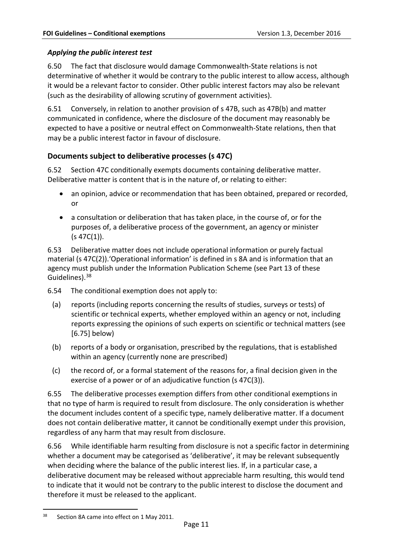## <span id="page-12-0"></span>*Applying the public interest test*

6.50 The fact that disclosure would damage Commonwealth-State relations is not determinative of whether it would be contrary to the public interest to allow access, although it would be a relevant factor to consider. Other public interest factors may also be relevant (such as the desirability of allowing scrutiny of government activities).

<span id="page-12-2"></span>6.51 Conversely, in relation to another provision of s 47B, such as 47B(b) and matter communicated in confidence, where the disclosure of the document may reasonably be expected to have a positive or neutral effect on Commonwealth-State relations, then that may be a public interest factor in favour of disclosure.

## <span id="page-12-1"></span>**Documents subject to deliberative processes (s 47C)**

<span id="page-12-3"></span>6.52 Section 47C conditionally exempts documents containing deliberative matter. Deliberative matter is content that is in the nature of, or relating to either:

- an opinion, advice or recommendation that has been obtained, prepared or recorded, or
- a consultation or deliberation that has taken place, in the course of, or for the purposes of, a deliberative process of the government, an agency or minister  $(s 47C(1))$ .

6.53 Deliberative matter does not include operational information or purely factual material (s 47C(2)).'Operational information' is defined in s 8A and is information that an agency must publish under the Information Publication Scheme (see Part 13 of these Guidelines).<sup>[38](#page-12-4)</sup>

<span id="page-12-5"></span>6.54 The conditional exemption does not apply to:

- (a) reports (including reports concerning the results of studies, surveys or tests) of scientific or technical experts, whether employed within an agency or not, including reports expressing the opinions of such experts on scientific or technical matters (see [\[6.75\]](#page-15-3) below)
- (b) reports of a body or organisation, prescribed by the regulations, that is established within an agency (currently none are prescribed)
- (c) the record of, or a formal statement of the reasons for, a final decision given in the exercise of a power or of an adjudicative function (s 47C(3)).

6.55 The deliberative processes exemption differs from other conditional exemptions in that no type of harm is required to result from disclosure. The only consideration is whether the document includes content of a specific type, namely deliberative matter. If a document does not contain deliberative matter, it cannot be conditionally exempt under this provision, regardless of any harm that may result from disclosure.

6.56 While identifiable harm resulting from disclosure is not a specific factor in determining whether a document may be categorised as 'deliberative', it may be relevant subsequently when deciding where the balance of the public interest lies. If, in a particular case, a deliberative document may be released without appreciable harm resulting, this would tend to indicate that it would not be contrary to the public interest to disclose the document and therefore it must be released to the applicant.

<span id="page-12-4"></span><sup>&</sup>lt;sup>38</sup> Section 8A came into effect on 1 May 2011.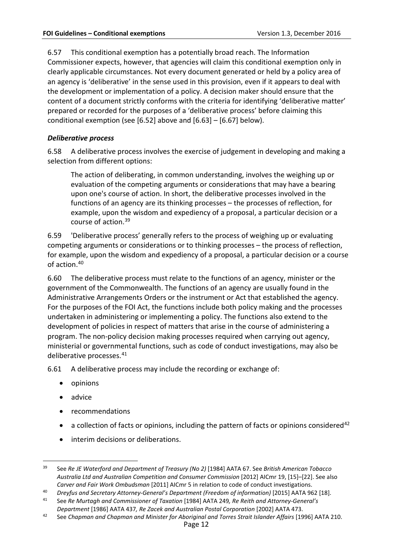6.57 This conditional exemption has a potentially broad reach. The Information Commissioner expects, however, that agencies will claim this conditional exemption only in clearly applicable circumstances. Not every document generated or held by a policy area of an agency is 'deliberative' in the sense used in this provision, even if it appears to deal with the development or implementation of a policy. A decision maker should ensure that the content of a document strictly conforms with the criteria for identifying 'deliberative matter' prepared or recorded for the purposes of a 'deliberative process' before claiming this conditional exemption (see [\[6.52\]](#page-12-3) above and [\[6.63\]](#page-14-1) – [\[6.67\]](#page-14-2) below).

## <span id="page-13-0"></span>*Deliberative process*

6.58 A deliberative process involves the exercise of judgement in developing and making a selection from different options:

The action of deliberating, in common understanding, involves the weighing up or evaluation of the competing arguments or considerations that may have a bearing upon one's course of action. In short, the deliberative processes involved in the functions of an agency are its thinking processes – the processes of reflection, for example, upon the wisdom and expediency of a proposal, a particular decision or a course of action.[39](#page-13-1)

6.59 'Deliberative process' generally refers to the process of weighing up or evaluating competing arguments or considerations or to thinking processes – the process of reflection, for example, upon the wisdom and expediency of a proposal, a particular decision or a course of action. [40](#page-13-2)

6.60 The deliberative process must relate to the functions of an agency, minister or the government of the Commonwealth. The functions of an agency are usually found in the Administrative Arrangements Orders or the instrument or Act that established the agency. For the purposes of the FOI Act, the functions include both policy making and the processes undertaken in administering or implementing a policy. The functions also extend to the development of policies in respect of matters that arise in the course of administering a program. The non-policy decision making processes required when carrying out agency, ministerial or governmental functions, such as code of conduct investigations, may also be deliberative processes.[41](#page-13-3)

6.61 A deliberative process may include the recording or exchange of:

- opinions
- advice
- recommendations
- a collection of facts or opinions, including the pattern of facts or opinions considered<sup>[42](#page-13-4)</sup>
- interim decisions or deliberations.

<span id="page-13-1"></span> <sup>39</sup> See *Re JE Waterford and Department of Treasury (No 2)* [1984] AATA 67. See *British American Tobacco Australia Ltd and Australian Competition and Consumer Commission* [2012] AICmr 19, [15]–[22]. See also *Carver and Fair Work Ombudsman* [2011] AICmr 5 in relation to code of conduct investigations.

<span id="page-13-2"></span><sup>40</sup> *Dreyfus and Secretary Attorney-General's Department (Freedom of information)* [2015] AATA 962 [18].

<span id="page-13-3"></span><sup>41</sup> See *Re Murtagh and Commissioner of Taxation* [1984] AATA 249*, Re Reith and Attorney-General's Department* [1986] AATA 437*, Re Zacek and Australian Postal Corporation* [2002] AATA 473.

<span id="page-13-4"></span><sup>42</sup> See *Chapman and Chapman and Minister for Aboriginal and Torres Strait Islander Affairs* [1996] AATA 210.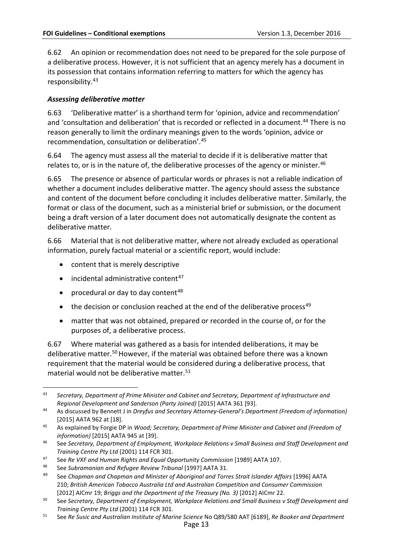6.62 An opinion or recommendation does not need to be prepared for the sole purpose of a deliberative process. However, it is not sufficient that an agency merely has a document in its possession that contains information referring to matters for which the agency has responsibility.[43](#page-14-3)

## <span id="page-14-0"></span>*Assessing deliberative matter*

<span id="page-14-1"></span>6.63 'Deliberative matter' is a shorthand term for 'opinion, advice and recommendation' and 'consultation and deliberation' that is recorded or reflected in a document.[44](#page-14-4) There is no reason generally to limit the ordinary meanings given to the words 'opinion, advice or recommendation, consultation or deliberation'.[45](#page-14-5)

6.64 The agency must assess all the material to decide if it is deliberative matter that relates to, or is in the nature of, the deliberative processes of the agency or minister.<sup>[46](#page-14-6)</sup>

6.65 The presence or absence of particular words or phrases is not a reliable indication of whether a document includes deliberative matter. The agency should assess the substance and content of the document before concluding it includes deliberative matter. Similarly, the format or class of the document, such as a ministerial brief or submission, or the document being a draft version of a later document does not automatically designate the content as deliberative matter.

6.66 Material that is not deliberative matter, where not already excluded as operational information, purely factual material or a scientific report, would include:

- content that is merely descriptive
- $\bullet$  incidental administrative content<sup>[47](#page-14-7)</sup>
- procedural or day to day content<sup>[48](#page-14-8)</sup>
- the decision or conclusion reached at the end of the deliberative process<sup>[49](#page-14-9)</sup>
- matter that was not obtained, prepared or recorded in the course of, or for the purposes of, a deliberative process.

<span id="page-14-2"></span>6.67 Where material was gathered as a basis for intended deliberations, it may be deliberative matter.<sup>[50](#page-14-10)</sup> However, if the material was obtained before there was a known requirement that the material would be considered during a deliberative process, that material would not be deliberative matter.<sup>[51](#page-14-11)</sup>

<span id="page-14-3"></span> <sup>43</sup> *Secretary, Department of Prime Minister and Cabinet and Secretary, Department of Infrastructure and Regional Development and Sanderson (Party Joined)* [2015] AATA 361 [93].

<span id="page-14-4"></span><sup>44</sup> As discussed by Bennett J in *Dreyfus and Secretary Attorney-General's Department (Freedom of information)* [2015] AATA 962 at [18].

<span id="page-14-5"></span><sup>45</sup> As explained by Forgie DP in *Wood; Secretary, Department of Prime Minister and Cabinet and (Freedom of information)* [2015] AATA 945 at [39].

<span id="page-14-6"></span><sup>46</sup> See *Secretary, Department of Employment, Workplace Relations v Small Business and Staff Development and Training Centre Pty Ltd* (2001) 114 FCR 301.

<span id="page-14-7"></span><sup>47</sup> See *Re VXF and Human Rights and Equal Opportunity Commission* [1989] AATA 107.

<span id="page-14-8"></span><sup>48</sup> See *Subramanian and Refugee Review Tribunal* [1997] AATA 31.

<span id="page-14-9"></span><sup>49</sup> See *Chapman and Chapman and Minister of Aboriginal and Torres Strait Islander Affairs* [1996] AATA 210; *British American Tobacco Australia Ltd and Australian Competition and Consumer Commission*  [2012] AICmr 19; *Briggs and the Department of the Treasury (No. 3)* [2012] AICmr 22.

<span id="page-14-10"></span><sup>50</sup> See *Secretary, Department of Employment, Workplace Relations and Small Business v Staff Development and Training Centre Pty Ltd* (2001) 114 FCR 301.

<span id="page-14-11"></span><sup>51</sup> See *Re Susic and Australian Institute of Marine Science* No Q89/580 AAT [6189], *Re Booker and Department*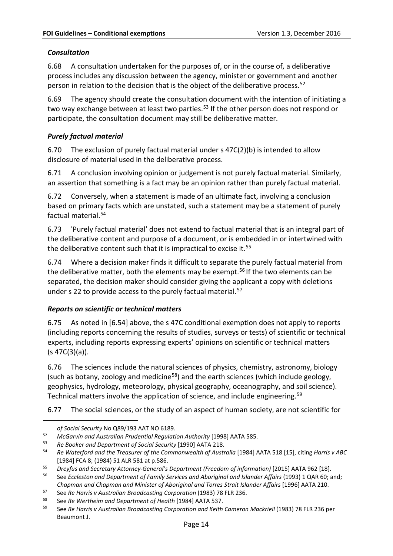## <span id="page-15-0"></span>*Consultation*

6.68 A consultation undertaken for the purposes of, or in the course of, a deliberative process includes any discussion between the agency, minister or government and another person in relation to the decision that is the object of the deliberative process.[52](#page-15-4)

6.69 The agency should create the consultation document with the intention of initiating a two way exchange between at least two parties.<sup>[53](#page-15-5)</sup> If the other person does not respond or participate, the consultation document may still be deliberative matter.

## <span id="page-15-1"></span>*Purely factual material*

6.70 The exclusion of purely factual material under s 47C(2)(b) is intended to allow disclosure of material used in the deliberative process.

6.71 A conclusion involving opinion or judgement is not purely factual material. Similarly, an assertion that something is a fact may be an opinion rather than purely factual material.

6.72 Conversely, when a statement is made of an ultimate fact, involving a conclusion based on primary facts which are unstated, such a statement may be a statement of purely factual material.[54](#page-15-6)

6.73 'Purely factual material' does not extend to factual material that is an integral part of the deliberative content and purpose of a document, or is embedded in or intertwined with the deliberative content such that it is impractical to excise it.<sup>[55](#page-15-7)</sup>

6.74 Where a decision maker finds it difficult to separate the purely factual material from the deliberative matter, both the elements may be exempt.<sup>[56](#page-15-8)</sup> If the two elements can be separated, the decision maker should consider giving the applicant a copy with deletions under s 22 to provide access to the purely factual material.<sup>[57](#page-15-9)</sup>

## <span id="page-15-2"></span>*Reports on scientific or technical matters*

<span id="page-15-3"></span>6.75 As noted in [\[6.54\]](#page-12-5) above, the s 47C conditional exemption does not apply to reports (including reports concerning the results of studies, surveys or tests) of scientific or technical experts, including reports expressing experts' opinions on scientific or technical matters (s 47C(3)(a)).

6.76 The sciences include the natural sciences of physics, chemistry, astronomy, biology (such as botany, zoology and medicine<sup>58</sup>) and the earth sciences (which include geology, geophysics, hydrology, meteorology, physical geography, oceanography, and soil science). Technical matters involve the application of science, and include engineering.<sup>[59](#page-15-11)</sup>

6.77 The social sciences, or the study of an aspect of human society, are not scientific for

 $\ddot{\phantom{a}}$ 

*of Social Security* No Q89/193 AAT NO 6189.

<span id="page-15-5"></span><span id="page-15-4"></span><sup>52</sup> *McGarvin and Australian Prudential Regulation Authority* [1998] AATA 585.

<sup>53</sup> *Re Booker and Department of Social Security* [1990] AATA 218.

<span id="page-15-6"></span><sup>54</sup> *Re Waterford and the Treasurer of the Commonwealth of Australia* [1984] AATA 518 [15], citing *Harris v ABC* [1984] FCA 8; (1984) 51 ALR 581 at p.586.

<span id="page-15-7"></span><sup>55</sup> *Dreyfus and Secretary Attorney-General's Department (Freedom of information)* [2015] AATA 962 [18].

<span id="page-15-8"></span><sup>56</sup> See *Eccleston and Department of Family Services and Aboriginal and Islander Affairs* (1993) 1 QAR 60; and;

*Chapman and Chapman and Minister of Aboriginal and Torres Strait Islander Affairs* [1996] AATA 210.

<span id="page-15-9"></span><sup>57</sup> See *Re Harris v Australian Broadcasting Corporation* (1983) 78 FLR 236.

<span id="page-15-11"></span><span id="page-15-10"></span><sup>58</sup> See *Re Wertheim and Department of Health* [1984] AATA 537.

<sup>59</sup> See *Re Harris v Australian Broadcasting Corporation and Keith Cameron Mackriell* (1983) 78 FLR 236 per Beaumont J.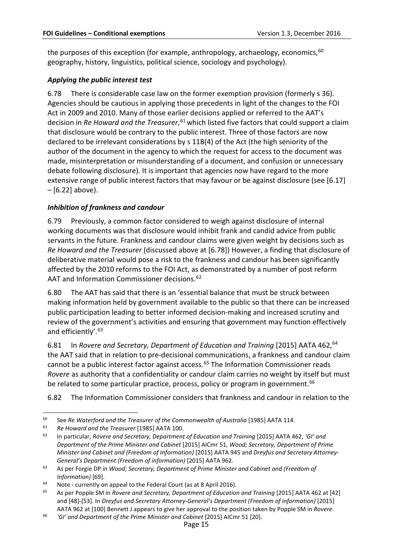the purposes of this exception (for example, anthropology, archaeology, economics,  $60$ geography, history, linguistics, political science, sociology and psychology).

## <span id="page-16-0"></span>*Applying the public interest test*

<span id="page-16-2"></span>6.78 There is considerable case law on the former exemption provision (formerly s 36). Agencies should be cautious in applying those precedents in light of the changes to the FOI Act in 2009 and 2010. Many of those earlier decisions applied or referred to the AAT's decision in *Re Howard and the Treasurer*, [61](#page-16-4) which listed five factors that could support a claim that disclosure would be contrary to the public interest. Three of those factors are now declared to be irrelevant considerations by s 11B(4) of the Act (the high seniority of the author of the document in the agency to which the request for access to the document was made, misinterpretation or misunderstanding of a document, and confusion or unnecessary debate following disclosure). It is important that agencies now have regard to the more extensive range of public interest factors that may favour or be against disclosure (see [\[6.17\]](#page-4-3)  $-$  [\[6.22\]](#page-6-2) above).

## <span id="page-16-1"></span>*Inhibition of frankness and candour*

6.79 Previously, a common factor considered to weigh against disclosure of internal working documents was that disclosure would inhibit frank and candid advice from public servants in the future. Frankness and candour claims were given weight by decisions such as *Re Howard and the Treasurer* (discussed above at [\[6.78\]](#page-16-2)) However, a finding that disclosure of deliberative material would pose a risk to the frankness and candour has been significantly affected by the 2010 reforms to the FOI Act, as demonstrated by a number of post reform AAT and Information Commissioner decisions.<sup>[62](#page-16-5)</sup>

6.80 The AAT has said that there is an 'essential balance that must be struck between making information held by government available to the public so that there can be increased public participation leading to better informed decision-making and increased scrutiny and review of the government's activities and ensuring that government may function effectively and efficiently'.[63](#page-16-6)

6.81 In *Rovere and Secretary, Department of Education and Training* [2015] AATA 462, [64](#page-16-7) the AAT said that in relation to pre-decisional communications, a frankness and candour claim cannot be a public interest factor against access.<sup>[65](#page-16-8)</sup> The Information Commissioner reads *Rovere* as authority that a confidentiality or candour claim carries no weight by itself but must be related to some particular practice, process, policy or program in government.<sup>[66](#page-16-9)</sup>

6.82 The Information Commissioner considers that frankness and candour in relation to the

<span id="page-16-3"></span> <sup>60</sup> See *Re Waterford and the Treasurer of the Commonwealth of Australia* [1985] AATA 114.

<span id="page-16-5"></span><span id="page-16-4"></span><sup>61</sup> *Re Howard and the Treasurer* [1985] AATA 100.

<sup>62</sup> In particular, *Rovere and Secretary, Department of Education and Training* [2015] AATA 462, *'GI' and Department of the Prime Minister and Cabinet* [2015] AICmr 51, *Wood; Secretary, Department of Prime Minister and Cabinet and (Freedom of Information)* [2015] AATA 945 and *Dreyfus and Secretary Attorney-General's Department (Freedom of information)* [2015] AATA 962.

<span id="page-16-6"></span><sup>63</sup> As per Forgie DP in *Wood; Secretary, Department of Prime Minister and Cabinet and (Freedom of Information)* [69].

<span id="page-16-7"></span><sup>&</sup>lt;sup>64</sup> Note - currently on appeal to the Federal Court (as at 8 April 2016).

<span id="page-16-8"></span><sup>65</sup> As per Popple SM in *Rovere and Secretary, Department of Education and Training* [2015] AATA 462 at [42] and [48]-[53]. In *Dreyfus and Secretary Attorney-General's Department (Freedom of information)* [2015] AATA 962 at [100] Bennett J appears to give her approval to the position taken by Popple SM in *Rovere*.

<span id="page-16-9"></span><sup>66</sup> *'GI' and Department of the Prime Minister and Cabinet* [2015] AICmr 51 [20].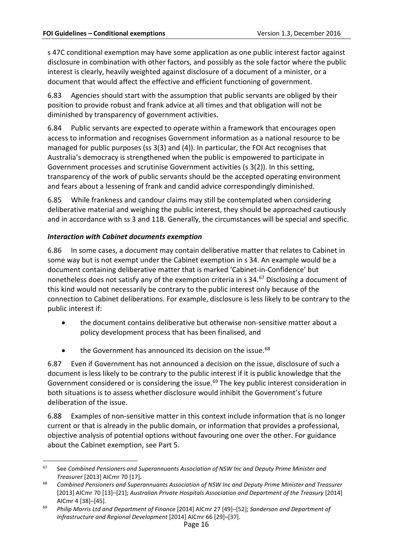s 47C conditional exemption may have some application as one public interest factor against disclosure in combination with other factors, and possibly as the sole factor where the public interest is clearly, heavily weighted against disclosure of a document of a minister, or a document that would affect the effective and efficient functioning of government.

6.83 Agencies should start with the assumption that public servants are obliged by their position to provide robust and frank advice at all times and that obligation will not be diminished by transparency of government activities.

6.84 Public servants are expected to operate within a framework that encourages open access to information and recognises Government information as a national resource to be managed for public purposes (ss 3(3) and (4)). In particular, the FOI Act recognises that Australia's democracy is strengthened when the public is empowered to participate in Government processes and scrutinise Government activities (s 3(2)). In this setting, transparency of the work of public servants should be the accepted operating environment and fears about a lessening of frank and candid advice correspondingly diminished.

6.85 While frankness and candour claims may still be contemplated when considering deliberative material and weighing the public interest, they should be approached cautiously and in accordance with ss 3 and 11B. Generally, the circumstances will be special and specific.

## <span id="page-17-0"></span>*Interaction with Cabinet documents exemption*

6.86 In some cases, a document may contain deliberative matter that relates to Cabinet in some way but is not exempt under the Cabinet exemption in s 34. An example would be a document containing deliberative matter that is marked 'Cabinet-in-Confidence' but nonetheless does not satisfy any of the exemption criteria in s 34.[67](#page-17-2) Disclosing a document of this kind would not necessarily be contrary to the public interest only because of the connection to Cabinet deliberations. For example, disclosure is less likely to be contrary to the public interest if:

- the document contains deliberative but otherwise non-sensitive matter about a policy development process that has been finalised, and
- the Government has announced its decision on the issue.<sup>[68](#page-17-3)</sup>

6.87 Even if Government has not announced a decision on the issue, disclosure of such a document is less likely to be contrary to the public interest if it is public knowledge that the Government considered or is considering the issue.<sup>[69](#page-17-4)</sup> The key public interest consideration in both situations is to assess whether disclosure would inhibit the Government's future deliberation of the issue.

<span id="page-17-1"></span>6.88 Examples of non-sensitive matter in this context include information that is no longer current or that is already in the public domain, or information that provides a professional, objective analysis of potential options without favouring one over the other. For guidance about the Cabinet exemption, see Part 5.

<span id="page-17-2"></span> <sup>67</sup> See *Combined Pensioners and Superannuants Association of NSW Inc and Deputy Prime Minister and Treasurer* [2013] AICmr 70 [17].

<span id="page-17-3"></span><sup>68</sup> *Combined Pensioners and Superannuants Association of NSW Inc and Deputy Prime Minister and Treasurer* [2013] AICmr 70 [13]–[21]; *Australian Private Hospitals Association and Department of the Treasury* [2014] AICmr 4 [38]–[45].

<span id="page-17-4"></span><sup>69</sup> *Philip Morris Ltd and Department of Finance* [2014] AICmr 27 [49]–[52]; *Sanderson and Department of Infrastructure and Regional Development* [2014] AICmr 66 [29]–[37].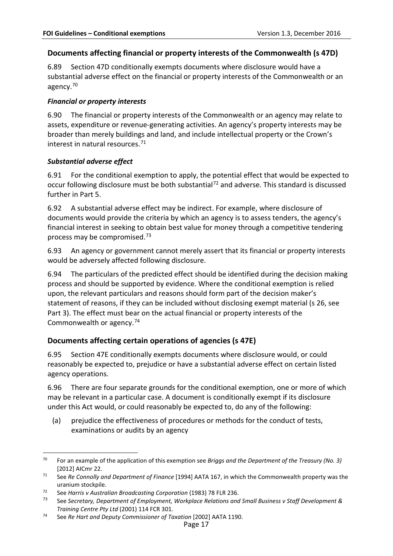## <span id="page-18-0"></span>**Documents affecting financial or property interests of the Commonwealth (s 47D)**

<span id="page-18-4"></span>6.89 Section 47D conditionally exempts documents where disclosure would have a substantial adverse effect on the financial or property interests of the Commonwealth or an agency.[70](#page-18-7)

#### <span id="page-18-1"></span>*Financial or property interests*

6.90 The financial or property interests of the Commonwealth or an agency may relate to assets, expenditure or revenue-generating activities. An agency's property interests may be broader than merely buildings and land, and include intellectual property or the Crown's interest in natural resources.[71](#page-18-8)

#### <span id="page-18-2"></span>*Substantial adverse effect*

6.91 For the conditional exemption to apply, the potential effect that would be expected to occur following disclosure must be both substantial<sup>[72](#page-18-9)</sup> and adverse. This standard is discussed further in Part 5.

6.92 A substantial adverse effect may be indirect. For example, where disclosure of documents would provide the criteria by which an agency is to assess tenders, the agency's financial interest in seeking to obtain best value for money through a competitive tendering process may be compromised.[73](#page-18-10)

6.93 An agency or government cannot merely assert that its financial or property interests would be adversely affected following disclosure.

<span id="page-18-5"></span>6.94 The particulars of the predicted effect should be identified during the decision making process and should be supported by evidence. Where the conditional exemption is relied upon, the relevant particulars and reasons should form part of the decision maker's statement of reasons, if they can be included without disclosing exempt material (s 26, see Part 3). The effect must bear on the actual financial or property interests of the Commonwealth or agency.[74](#page-18-11)

## <span id="page-18-3"></span>**Documents affecting certain operations of agencies (s 47E)**

<span id="page-18-6"></span>6.95 Section 47E conditionally exempts documents where disclosure would, or could reasonably be expected to, prejudice or have a substantial adverse effect on certain listed agency operations.

6.96 There are four separate grounds for the conditional exemption, one or more of which may be relevant in a particular case. A document is conditionally exempt if its disclosure under this Act would, or could reasonably be expected to, do any of the following:

(a) prejudice the effectiveness of procedures or methods for the conduct of tests, examinations or audits by an agency

<span id="page-18-7"></span> <sup>70</sup> For an example of the application of this exemption see *Briggs and the Department of the Treasury (No. 3)*  [2012] AICmr 22.

<span id="page-18-8"></span><sup>71</sup> See *Re Connolly and Department of Finance* [1994] AATA 167, in which the Commonwealth property was the uranium stockpile.

<span id="page-18-9"></span><sup>72</sup> See *Harris v Australian Broadcasting Corporation* (1983) 78 FLR 236.

<span id="page-18-10"></span><sup>73</sup> See *Secretary, Department of Employment, Workplace Relations and Small Business v Staff Development & Training Centre Pty Ltd* (2001) 114 FCR 301.

<span id="page-18-11"></span><sup>74</sup> See *Re Hart and Deputy Commissioner of Taxation* [2002] AATA 1190.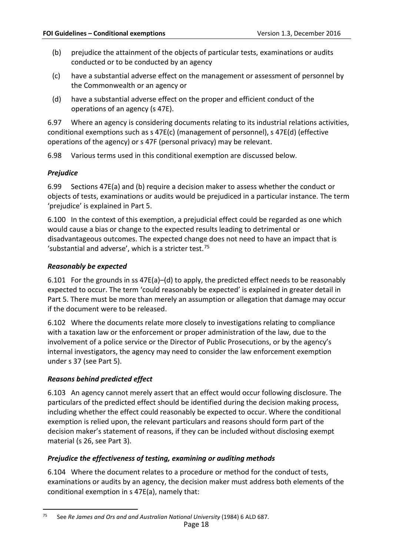- (b) prejudice the attainment of the objects of particular tests, examinations or audits conducted or to be conducted by an agency
- (c) have a substantial adverse effect on the management or assessment of personnel by the Commonwealth or an agency or
- (d) have a substantial adverse effect on the proper and efficient conduct of the operations of an agency (s 47E).

6.97 Where an agency is considering documents relating to its industrial relations activities, conditional exemptions such as s 47E(c) (management of personnel), s 47E(d) (effective operations of the agency) or s 47F (personal privacy) may be relevant.

6.98 Various terms used in this conditional exemption are discussed below.

## <span id="page-19-0"></span>*Prejudice*

6.99 Sections 47E(a) and (b) require a decision maker to assess whether the conduct or objects of tests, examinations or audits would be prejudiced in a particular instance. The term 'prejudice' is explained in Part 5.

6.100 In the context of this exemption, a prejudicial effect could be regarded as one which would cause a bias or change to the expected results leading to detrimental or disadvantageous outcomes. The expected change does not need to have an impact that is 'substantial and adverse', which is a stricter test.[75](#page-19-4)

#### <span id="page-19-1"></span>*Reasonably be expected*

6.101 For the grounds in ss 47E(a)–(d) to apply, the predicted effect needs to be reasonably expected to occur. The term 'could reasonably be expected' is explained in greater detail in Part 5. There must be more than merely an assumption or allegation that damage may occur if the document were to be released.

6.102 Where the documents relate more closely to investigations relating to compliance with a taxation law or the enforcement or proper administration of the law, due to the involvement of a police service or the Director of Public Prosecutions, or by the agency's internal investigators, the agency may need to consider the law enforcement exemption under s 37 (see Part 5).

## <span id="page-19-2"></span>*Reasons behind predicted effect*

6.103 An agency cannot merely assert that an effect would occur following disclosure. The particulars of the predicted effect should be identified during the decision making process, including whether the effect could reasonably be expected to occur. Where the conditional exemption is relied upon, the relevant particulars and reasons should form part of the decision maker's statement of reasons, if they can be included without disclosing exempt material (s 26, see Part 3).

## <span id="page-19-3"></span>*Prejudice the effectiveness of testing, examining or auditing methods*

6.104 Where the document relates to a procedure or method for the conduct of tests, examinations or audits by an agency, the decision maker must address both elements of the conditional exemption in s 47E(a), namely that:

<span id="page-19-4"></span> <sup>75</sup> See *Re James and Ors and and Australian National University* (1984) 6 ALD 687.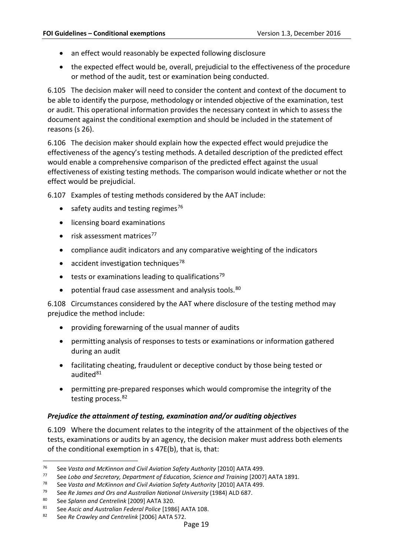- an effect would reasonably be expected following disclosure
- the expected effect would be, overall, prejudicial to the effectiveness of the procedure or method of the audit, test or examination being conducted.

6.105 The decision maker will need to consider the content and context of the document to be able to identify the purpose, methodology or intended objective of the examination, test or audit. This operational information provides the necessary context in which to assess the document against the conditional exemption and should be included in the statement of reasons (s 26).

6.106 The decision maker should explain how the expected effect would prejudice the effectiveness of the agency's testing methods. A detailed description of the predicted effect would enable a comprehensive comparison of the predicted effect against the usual effectiveness of existing testing methods. The comparison would indicate whether or not the effect would be prejudicial.

6.107 Examples of testing methods considered by the AAT include:

- safety audits and testing regimes $76$
- licensing board examinations
- $\bullet$  risk assessment matrices<sup>77</sup>
- compliance audit indicators and any comparative weighting of the indicators
- accident investigation techniques<sup>[78](#page-20-3)</sup>
- tests or examinations leading to qualifications<sup>79</sup>
- potential fraud case assessment and analysis tools.<sup>[80](#page-20-5)</sup>

6.108 Circumstances considered by the AAT where disclosure of the testing method may prejudice the method include:

- providing forewarning of the usual manner of audits
- permitting analysis of responses to tests or examinations or information gathered during an audit
- facilitating cheating, fraudulent or deceptive conduct by those being tested or audited<sup>[81](#page-20-6)</sup>
- permitting pre-prepared responses which would compromise the integrity of the testing process.<sup>[82](#page-20-7)</sup>

#### <span id="page-20-0"></span>*Prejudice the attainment of testing, examination and/or auditing objectives*

6.109 Where the document relates to the integrity of the attainment of the objectives of the tests, examinations or audits by an agency, the decision maker must address both elements of the conditional exemption in s 47E(b), that is, that:

<span id="page-20-1"></span> <sup>76</sup> See *Vasta and McKinnon and Civil Aviation Safety Authority* [2010] AATA 499.

<span id="page-20-2"></span><sup>77</sup> See *Lobo and Secretary, Department of Education, Science and Training* [2007] AATA 1891.

<span id="page-20-3"></span><sup>78</sup> See *Vasta and McKinnon and Civil Aviation Safety Authority* [2010] AATA 499.

<span id="page-20-4"></span><sup>79</sup> See *Re James and Ors and Australian National University* (1984) ALD 687.

<span id="page-20-6"></span><span id="page-20-5"></span><sup>80</sup> See *Splann and Centrelink* [2009] AATA 320.

<sup>81</sup> See *Ascic and Australian Federal Police* [1986] AATA 108.

<span id="page-20-7"></span><sup>82</sup> See *Re Crawley and Centrelink* [2006] AATA 572.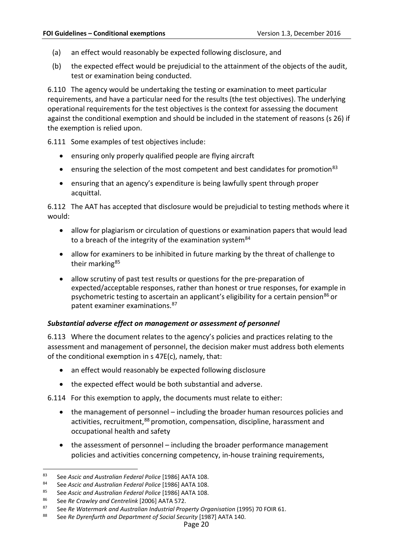- (a) an effect would reasonably be expected following disclosure, and
- (b) the expected effect would be prejudicial to the attainment of the objects of the audit, test or examination being conducted.

6.110 The agency would be undertaking the testing or examination to meet particular requirements, and have a particular need for the results (the test objectives). The underlying operational requirements for the test objectives is the context for assessing the document against the conditional exemption and should be included in the statement of reasons (s 26) if the exemption is relied upon.

6.111 Some examples of test objectives include:

- ensuring only properly qualified people are flying aircraft
- ensuring the selection of the most competent and best candidates for promotion<sup>[83](#page-21-1)</sup>
- ensuring that an agency's expenditure is being lawfully spent through proper acquittal.

6.112 The AAT has accepted that disclosure would be prejudicial to testing methods where it would:

- allow for plagiarism or circulation of questions or examination papers that would lead to a breach of the integrity of the examination system  $84$
- allow for examiners to be inhibited in future marking by the threat of challenge to their marking<sup>[85](#page-21-3)</sup>
- allow scrutiny of past test results or questions for the pre-preparation of expected/acceptable responses, rather than honest or true responses, for example in psychometric testing to ascertain an applicant's eligibility for a certain pension<sup>[86](#page-21-4)</sup> or patent examiner examinations[.87](#page-21-5)

#### <span id="page-21-0"></span>*Substantial adverse effect on management or assessment of personnel*

6.113 Where the document relates to the agency's policies and practices relating to the assessment and management of personnel, the decision maker must address both elements of the conditional exemption in s 47E(c), namely, that:

- an effect would reasonably be expected following disclosure
- the expected effect would be both substantial and adverse.

6.114 For this exemption to apply, the documents must relate to either:

- the management of personnel including the broader human resources policies and activities, recruitment, <sup>[88](#page-21-6)</sup> promotion, compensation, discipline, harassment and occupational health and safety
- the assessment of personnel including the broader performance management policies and activities concerning competency, in-house training requirements,

<span id="page-21-1"></span> <sup>83</sup> See *Ascic and Australian Federal Police* [1986] AATA 108.

<span id="page-21-2"></span><sup>84</sup> See *Ascic and Australian Federal Police* [1986] AATA 108.

<span id="page-21-3"></span><sup>85</sup> See *Ascic and Australian Federal Police* [1986] AATA 108.

<span id="page-21-5"></span><span id="page-21-4"></span><sup>86</sup> See *Re Crawley and Centrelink* [2006] AATA 572.

<span id="page-21-6"></span><sup>87</sup> See *Re Watermark and Australian Industrial Property Organisation* (1995) 70 FOIR 61.

<sup>88</sup> See *Re Dyrenfurth and Department of Social Security* [1987] AATA 140.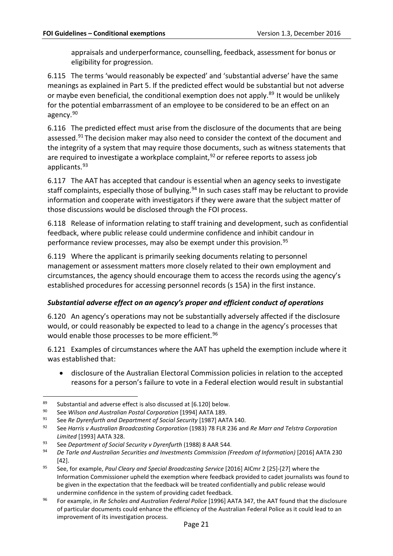appraisals and underperformance, counselling, feedback, assessment for bonus or eligibility for progression.

6.115 The terms 'would reasonably be expected' and 'substantial adverse' have the same meanings as explained in Part 5. If the predicted effect would be substantial but not adverse or maybe even beneficial, the conditional exemption does not apply.<sup>[89](#page-22-2)</sup> It would be unlikely for the potential embarrassment of an employee to be considered to be an effect on an agency.[90](#page-22-3)

6.116 The predicted effect must arise from the disclosure of the documents that are being assessed.<sup>[91](#page-22-4)</sup> The decision maker may also need to consider the context of the document and the integrity of a system that may require those documents, such as witness statements that are required to investigate a workplace complaint,  $92$  or referee reports to assess job applicants.[93](#page-22-6)

6.117 The AAT has accepted that candour is essential when an agency seeks to investigate staff complaints, especially those of bullying.<sup>94</sup> In such cases staff may be reluctant to provide information and cooperate with investigators if they were aware that the subject matter of those discussions would be disclosed through the FOI process.

6.118 Release of information relating to staff training and development, such as confidential feedback, where public release could undermine confidence and inhibit candour in performance review processes, may also be exempt under this provision.<sup>[95](#page-22-8)</sup>

6.119 Where the applicant is primarily seeking documents relating to personnel management or assessment matters more closely related to their own employment and circumstances, the agency should encourage them to access the records using the agency's established procedures for accessing personnel records (s 15A) in the first instance.

## <span id="page-22-0"></span>*Substantial adverse effect on an agency's proper and efficient conduct of operations*

<span id="page-22-1"></span>6.120 An agency's operations may not be substantially adversely affected if the disclosure would, or could reasonably be expected to lead to a change in the agency's processes that would enable those processes to be more efficient.<sup>[96](#page-22-9)</sup>

6.121 Examples of circumstances where the AAT has upheld the exemption include where it was established that:

• disclosure of the Australian Electoral Commission policies in relation to the accepted reasons for a person's failure to vote in a Federal election would result in substantial

<span id="page-22-2"></span> <sup>89</sup> Substantial and adverse effect is also discussed at [\[6.120\]](#page-22-1) below.

<span id="page-22-3"></span><sup>90</sup> See *Wilson and Australian Postal Corporation* [1994] AATA 189.

<span id="page-22-4"></span><sup>91</sup> See *Re Dyrenfurth and Department of Social Security* [1987] AATA 140.

<span id="page-22-5"></span><sup>92</sup> See *Harris v Australian Broadcasting Corporation* (1983) 78 FLR 236 and *Re Marr and Telstra Corporation Limited* [1993] AATA 328.

<span id="page-22-6"></span><sup>93</sup> See *Department of Social Security v Dyrenfurth* (1988) 8 AAR 544.

<span id="page-22-7"></span><sup>94</sup> *De Tarle and Australian Securities and Investments Commission (Freedom of Information)* [2016] AATA 230 [42].

<span id="page-22-8"></span><sup>95</sup> See, for example, *Paul Cleary and Special Broadcasting Service* [2016] AICmr 2 [25]-[27] where the Information Commissioner upheld the exemption where feedback provided to cadet journalists was found to be given in the expectation that the feedback will be treated confidentially and public release would undermine confidence in the system of providing cadet feedback.

<span id="page-22-9"></span><sup>96</sup> For example, in *Re Scholes and Australian Federal Police* [1996] AATA 347, the AAT found that the disclosure of particular documents could enhance the efficiency of the Australian Federal Police as it could lead to an improvement of its investigation process.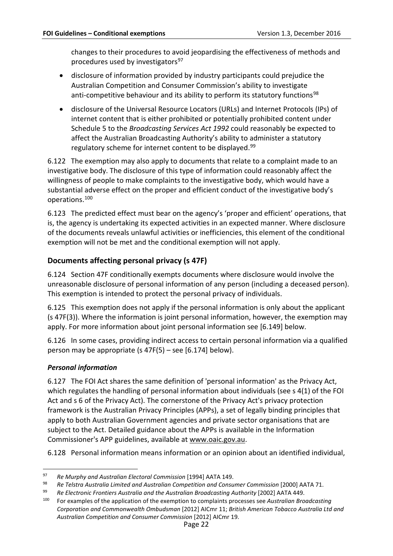changes to their procedures to avoid jeopardising the effectiveness of methods and procedures used by investigators<sup>[97](#page-23-4)</sup>

- disclosure of information provided by industry participants could prejudice the Australian Competition and Consumer Commission's ability to investigate anti-competitive behaviour and its ability to perform its statutory functions<sup>[98](#page-23-5)</sup>
- disclosure of the Universal Resource Locators (URLs) and Internet Protocols (IPs) of internet content that is either prohibited or potentially prohibited content under Schedule 5 to the *Broadcasting Services Act 1992* could reasonably be expected to affect the Australian Broadcasting Authority's ability to administer a statutory regulatory scheme for internet content to be displayed.<sup>[99](#page-23-6)</sup>

6.122 The exemption may also apply to documents that relate to a complaint made to an investigative body. The disclosure of this type of information could reasonably affect the willingness of people to make complaints to the investigative body, which would have a substantial adverse effect on the proper and efficient conduct of the investigative body's operations.[100](#page-23-7)

<span id="page-23-2"></span>6.123 The predicted effect must bear on the agency's 'proper and efficient' operations, that is, the agency is undertaking its expected activities in an expected manner. Where disclosure of the documents reveals unlawful activities or inefficiencies, this element of the conditional exemption will not be met and the conditional exemption will not apply.

## <span id="page-23-0"></span>**Documents affecting personal privacy (s 47F)**

<span id="page-23-3"></span>6.124 Section 47F conditionally exempts documents where disclosure would involve the unreasonable disclosure of personal information of any person (including a deceased person). This exemption is intended to protect the personal privacy of individuals.

6.125 This exemption does not apply if the personal information is only about the applicant (s 47F(3)). Where the information is joint personal information, however, the exemption may apply. For more information about joint personal information see [\[6.149\]](#page-28-2) below.

6.126 In some cases, providing indirect access to certain personal information via a qualified person may be appropriate (s 47F(5) – see [\[6.174\]](#page-31-2) below).

## <span id="page-23-1"></span>*Personal information*

6.127 The FOI Act shares the same definition of 'personal information' as the Privacy Act, which regulates the handling of personal information about individuals (see s 4(1) of the FOI Act and s 6 of the Privacy Act). The cornerstone of the Privacy Act's privacy protection framework is the Australian Privacy Principles (APPs), a set of legally binding principles that apply to both Australian Government agencies and private sector organisations that are subject to the Act. Detailed guidance about the APPs is available in the Information Commissioner's APP guidelines, available at [www.oaic.gov.au.](http://www.oaic.gov.au/)

6.128 Personal information means information or an opinion about an identified individual,

<span id="page-23-4"></span> <sup>97</sup> *Re Murphy and Australian Electoral Commission* [1994] AATA 149.

<span id="page-23-5"></span><sup>98</sup> *Re Telstra Australia Limited and Australian Competition and Consumer Commission* [2000] AATA 71.

<span id="page-23-6"></span><sup>99</sup> *Re Electronic Frontiers Australia and the Australian Broadcasting Authority* [2002] AATA 449.

<span id="page-23-7"></span><sup>100</sup> For examples of the application of the exemption to complaints processes see *Australian Broadcasting Corporation and Commonwealth Ombudsman* [2012] AICmr 11; *British American Tobacco Australia Ltd and Australian Competition and Consumer Commission* [2012] AICmr 19.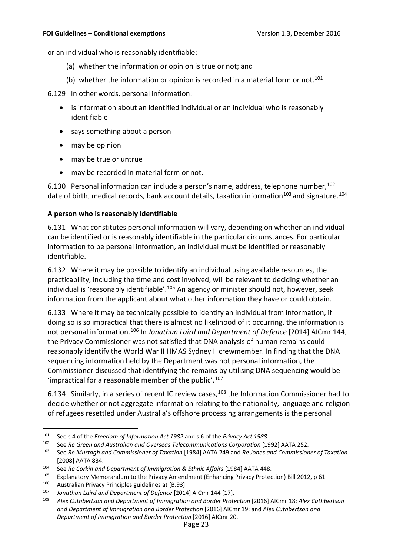or an individual who is reasonably identifiable:

- (a) whether the information or opinion is true or not; and
- (b) whether the information or opinion is recorded in a material form or not.<sup>[101](#page-24-1)</sup>

6.129 In other words, personal information:

- is information about an identified individual or an individual who is reasonably identifiable
- says something about a person
- may be opinion
- may be true or untrue
- may be recorded in material form or not.

6.130 Personal information can include a person's name, address, telephone number, <sup>[102](#page-24-2)</sup> date of birth, medical records, bank account details, taxation information<sup>103</sup> and signature.<sup>[104](#page-24-4)</sup>

#### <span id="page-24-0"></span>**A person who is reasonably identifiable**

6.131 What constitutes personal information will vary, depending on whether an individual can be identified or is reasonably identifiable in the particular circumstances. For particular information to be personal information, an individual must be identified or reasonably identifiable.

6.132 Where it may be possible to identify an individual using available resources, the practicability, including the time and cost involved, will be relevant to deciding whether an individual is 'reasonably identifiable'.<sup>[105](#page-24-5)</sup> An agency or minister should not, however, seek information from the applicant about what other information they have or could obtain.

6.133 Where it may be technically possible to identify an individual from information, if doing so is so impractical that there is almost no likelihood of it occurring, the information is not personal information.[106](#page-24-6) In *Jonathan Laird and Department of Defence* [2014] AICmr 144, the Privacy Commissioner was not satisfied that DNA analysis of human remains could reasonably identify the World War II HMAS Sydney II crewmember. In finding that the DNA sequencing information held by the Department was not personal information, the Commissioner discussed that identifying the remains by utilising DNA sequencing would be 'impractical for a reasonable member of the public'. $107$ 

6.134 Similarly, in a series of recent IC review cases, <sup>[108](#page-24-8)</sup> the Information Commissioner had to decide whether or not aggregate information relating to the nationality, language and religion of refugees resettled under Australia's offshore processing arrangements is the personal

<span id="page-24-2"></span><span id="page-24-1"></span> <sup>101</sup> See s <sup>4</sup> of the *Freedom of Information Act <sup>1982</sup>* and <sup>s</sup> <sup>6</sup> of the *Privacy Act <sup>1988</sup>*.

<sup>102</sup> See *Re Green and Australian and Overseas Telecommunications Corporation* [1992] AATA 252.

<span id="page-24-3"></span><sup>103</sup> See *Re Murtagh and Commissioner of Taxation* [1984] AATA 249 and *Re Jones and Commissioner of Taxation*  [2008] AATA 834.

<span id="page-24-4"></span><sup>104</sup> See *Re Corkin and Department of Immigration & Ethnic Affairs* [1984] AATA 448.

<span id="page-24-6"></span><span id="page-24-5"></span><sup>&</sup>lt;sup>105</sup> Explanatory Memorandum to the Privacy Amendment (Enhancing Privacy Protection) Bill 2012, p 61.<br><sup>106</sup> Australian Privacy Principles guidelines at [B.93].

<span id="page-24-7"></span><sup>107</sup> *Jonathan Laird and Department of Defence* [2014] AICmr 144 [17].

<span id="page-24-8"></span><sup>108</sup> *Alex Cuthbertson and Department of Immigration and Border Protection* [2016] AICmr 18; *Alex Cuthbertson and Department of Immigration and Border Protection* [2016] AICmr 19; and *Alex Cuthbertson and Department of Immigration and Border Protection* [2016] AICmr 20.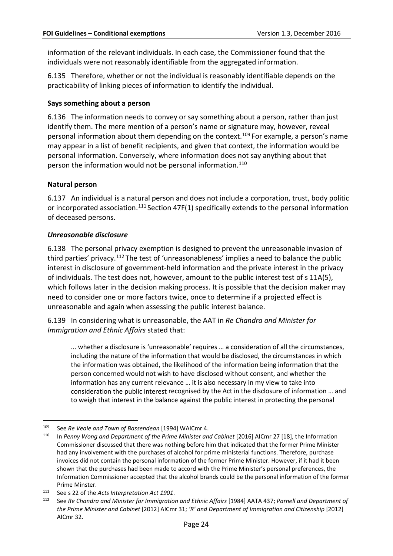information of the relevant individuals. In each case, the Commissioner found that the individuals were not reasonably identifiable from the aggregated information.

6.135 Therefore, whether or not the individual is reasonably identifiable depends on the practicability of linking pieces of information to identify the individual.

#### <span id="page-25-0"></span>**Says something about a person**

6.136 The information needs to convey or say something about a person, rather than just identify them. The mere mention of a person's name or signature may, however, reveal personal information about them depending on the context.[109](#page-25-3) For example, a person's name may appear in a list of benefit recipients, and given that context, the information would be personal information. Conversely, where information does not say anything about that person the information would not be personal information.<sup>[110](#page-25-4)</sup>

#### <span id="page-25-1"></span>**Natural person**

6.137 An individual is a natural person and does not include a corporation, trust, body politic or incorporated association.<sup>[111](#page-25-5)</sup> Section 47F(1) specifically extends to the personal information of deceased persons.

#### <span id="page-25-2"></span>*Unreasonable disclosure*

6.138 The personal privacy exemption is designed to prevent the unreasonable invasion of third parties' privacy.<sup>[112](#page-25-6)</sup> The test of 'unreasonableness' implies a need to balance the public interest in disclosure of government-held information and the private interest in the privacy of individuals. The test does not, however, amount to the public interest test of s 11A(5), which follows later in the decision making process. It is possible that the decision maker may need to consider one or more factors twice, once to determine if a projected effect is unreasonable and again when assessing the public interest balance.

6.139 In considering what is unreasonable, the AAT in *Re Chandra and Minister for Immigration and Ethnic Affairs* stated that:

... whether a disclosure is 'unreasonable' requires … a consideration of all the circumstances, including the nature of the information that would be disclosed, the circumstances in which the information was obtained, the likelihood of the information being information that the person concerned would not wish to have disclosed without consent, and whether the information has any current relevance … it is also necessary in my view to take into consideration the public interest recognised by the Act in the disclosure of information … and to weigh that interest in the balance against the public interest in protecting the personal

<span id="page-25-3"></span> <sup>109</sup> See *Re Veale and Town of Bassendean* [1994] WAICmr 4.

<span id="page-25-4"></span><sup>110</sup> In *Penny Wong and Department of the Prime Minister and Cabinet* [2016] AICmr 27 [18], the Information Commissioner discussed that there was nothing before him that indicated that the former Prime Minister had any involvement with the purchases of alcohol for prime ministerial functions. Therefore, purchase invoices did not contain the personal information of the former Prime Minister. However, if it had it been shown that the purchases had been made to accord with the Prime Minister's personal preferences, the Information Commissioner accepted that the alcohol brands could be the personal information of the former Prime Minster.

<span id="page-25-5"></span><sup>111</sup> See s 22 of the *Acts Interpretation Act 1901*.

<span id="page-25-6"></span><sup>112</sup> See *Re Chandra and Minister for Immigration and Ethnic Affairs* [1984] AATA 437; *Parnell and Department of the Prime Minister and Cabinet* [2012] AICmr 31; *'R' and Department of Immigration and Citizenship* [2012] AICmr 32.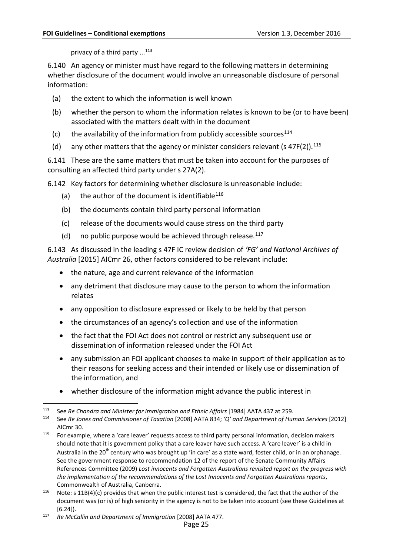privacy of a third party ...<sup>[113](#page-26-0)</sup>

6.140 An agency or minister must have regard to the following matters in determining whether disclosure of the document would involve an unreasonable disclosure of personal information:

- (a) the extent to which the information is well known
- (b) whether the person to whom the information relates is known to be (or to have been) associated with the matters dealt with in the document
- (c) the availability of the information from publicly accessible sources<sup>[114](#page-26-1)</sup>
- (d) any other matters that the agency or minister considers relevant (s  $47F(2)$ ).<sup>[115](#page-26-2)</sup>

6.141 These are the same matters that must be taken into account for the purposes of consulting an affected third party under s 27A(2).

6.142 Key factors for determining whether disclosure is unreasonable include:

- (a) the author of the document is identifiable<sup>[116](#page-26-3)</sup>
- (b) the documents contain third party personal information
- (c) release of the documents would cause stress on the third party
- (d) no public purpose would be achieved through release.  $117$

6.143 As discussed in the leading s 47F IC review decision of *'FG' and National Archives of Australia* [2015] AICmr 26, other factors considered to be relevant include:

- the nature, age and current relevance of the information
- any detriment that disclosure may cause to the person to whom the information relates
- any opposition to disclosure expressed or likely to be held by that person
- the circumstances of an agency's collection and use of the information
- the fact that the FOI Act does not control or restrict any subsequent use or dissemination of information released under the FOI Act
- any submission an FOI applicant chooses to make in support of their application as to their reasons for seeking access and their intended or likely use or dissemination of the information, and
- whether disclosure of the information might advance the public interest in

<span id="page-26-0"></span> <sup>113</sup> See *Re Chandra and Minister for Immigration and Ethnic Affairs* [1984] AATA <sup>437</sup> at 259.

<span id="page-26-1"></span><sup>114</sup> See *Re Jones and Commissioner of Taxation* [2008] AATA 834; *'Q' and Department of Human Services* [2012] AICmr 30.

<span id="page-26-2"></span><sup>&</sup>lt;sup>115</sup> For example, where a 'care leaver' requests access to third party personal information, decision makers should note that it is government policy that a care leaver have such access. A 'care leaver' is a child in Australia in the 20<sup>th</sup> century who was brought up 'in care' as a state ward, foster child, or in an orphanage. See the government response to recommendation 12 of the report of the Senate Community Affairs References Committee (2009) *Lost innocents and Forgotten Australians revisited report on the progress with the implementation of the recommendations of the Lost Innocents and Forgotten Australians reports*, Commonwealth of Australia, Canberra.

<span id="page-26-3"></span><sup>&</sup>lt;sup>116</sup> Note: s 11B(4)(c) provides that when the public interest test is considered, the fact that the author of the document was (or is) of high seniority in the agency is not to be taken into account (see these Guidelines at [\[6.24\]](#page-7-4)).

<span id="page-26-4"></span><sup>117</sup> *Re McCallin and Department of Immigration* [2008] AATA 477.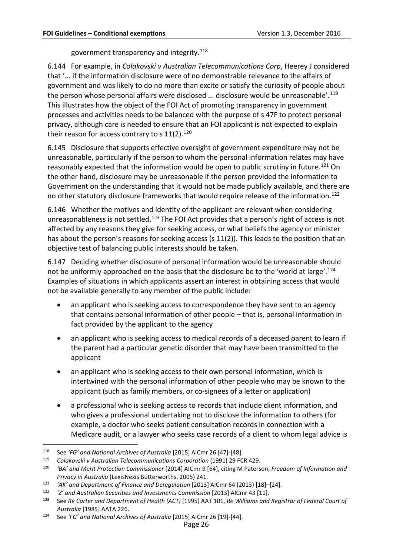government transparency and integrity. [118](#page-27-0)

6.144 For example, in *Colakovski v Australian Telecommunications Corp*, Heerey J considered that '... if the information disclosure were of no demonstrable relevance to the affairs of government and was likely to do no more than excite or satisfy the curiosity of people about the person whose personal affairs were disclosed ... disclosure would be unreasonable'.<sup>[119](#page-27-1)</sup> This illustrates how the object of the FOI Act of promoting transparency in government processes and activities needs to be balanced with the purpose of s 47F to protect personal privacy, although care is needed to ensure that an FOI applicant is not expected to explain their reason for access contrary to s  $11(2).^{120}$  $11(2).^{120}$  $11(2).^{120}$ 

6.145 Disclosure that supports effective oversight of government expenditure may not be unreasonable, particularly if the person to whom the personal information relates may have reasonably expected that the information would be open to public scrutiny in future.<sup>[121](#page-27-3)</sup> On the other hand, disclosure may be unreasonable if the person provided the information to Government on the understanding that it would not be made publicly available, and there are no other statutory disclosure frameworks that would require release of the information.<sup>[122](#page-27-4)</sup>

6.146 Whether the motives and identity of the applicant are relevant when considering unreasonableness is not settled.<sup>[123](#page-27-5)</sup> The FOI Act provides that a person's right of access is not affected by any reasons they give for seeking access, or what beliefs the agency or minister has about the person's reasons for seeking access (s 11(2)). This leads to the position that an objective test of balancing public interests should be taken.

6.147 Deciding whether disclosure of personal information would be unreasonable should not be uniformly approached on the basis that the disclosure be to the 'world at large'.<sup>[124](#page-27-6)</sup> Examples of situations in which applicants assert an interest in obtaining access that would not be available generally to any member of the public include:

- an applicant who is seeking access to correspondence they have sent to an agency that contains personal information of other people – that is, personal information in fact provided by the applicant to the agency
- an applicant who is seeking access to medical records of a deceased parent to learn if the parent had a particular genetic disorder that may have been transmitted to the applicant
- an applicant who is seeking access to their own personal information, which is intertwined with the personal information of other people who may be known to the applicant (such as family members, or co-signees of a letter or application)
- a professional who is seeking access to records that include client information, and who gives a professional undertaking not to disclose the information to others (for example, a doctor who seeks patient consultation records in connection with a Medicare audit, or a lawyer who seeks case records of a client to whom legal advice is

<span id="page-27-0"></span> <sup>118</sup> See *'FG' and National Archives of Australia* [2015] AICmr 26 [47]-[48].

<span id="page-27-1"></span><sup>119</sup> *Colakovski v Australian Telecommunications Corporation* (1991) 29 FCR 429.

<span id="page-27-2"></span><sup>120</sup> *'BA' and Merit Protection Commissioner* [2014] AICmr 9 [64], citing M Paterson, *Freedom of Information and Privacy in Australia* (LexisNexis Butterworths, 2005) 241.

<span id="page-27-3"></span><sup>121</sup> *'AK' and Department of Finance and Deregulation* [2013] AICmr 64 (2013) [18]–[24].

<span id="page-27-4"></span><sup>122</sup> *'Z' and Australian Securities and Investments Commission* [2013] AICmr 43 [11].

<span id="page-27-5"></span><sup>123</sup> See *Re Carter and Department of Health (ACT)* [1995] AAT 101, *Re Williams and Registrar of Federal Court of Australia* [1985] AATA 226.

<span id="page-27-6"></span><sup>124</sup> See *'FG' and National Archives of Australia* [2015] AICmr 26 [19]-[44].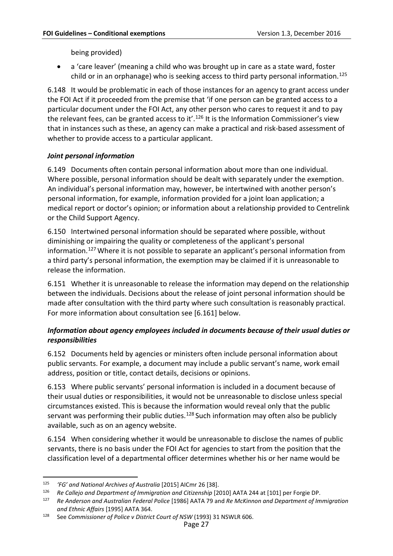being provided)

• a 'care leaver' (meaning a child who was brought up in care as a state ward, foster child or in an orphanage) who is seeking access to third party personal information.<sup>[125](#page-28-3)</sup>

6.148 It would be problematic in each of those instances for an agency to grant access under the FOI Act if it proceeded from the premise that 'if one person can be granted access to a particular document under the FOI Act, any other person who cares to request it and to pay the relevant fees, can be granted access to it'.<sup>[126](#page-28-4)</sup> It is the Information Commissioner's view that in instances such as these, an agency can make a practical and risk-based assessment of whether to provide access to a particular applicant.

## <span id="page-28-0"></span>*Joint personal information*

<span id="page-28-2"></span>6.149 Documents often contain personal information about more than one individual. Where possible, personal information should be dealt with separately under the exemption. An individual's personal information may, however, be intertwined with another person's personal information, for example, information provided for a joint loan application; a medical report or doctor's opinion; or information about a relationship provided to Centrelink or the Child Support Agency.

6.150 Intertwined personal information should be separated where possible, without diminishing or impairing the quality or completeness of the applicant's personal information.[127](#page-28-5) Where it is not possible to separate an applicant's personal information from a third party's personal information, the exemption may be claimed if it is unreasonable to release the information.

6.151 Whether it is unreasonable to release the information may depend on the relationship between the individuals. Decisions about the release of joint personal information should be made after consultation with the third party where such consultation is reasonably practical. For more information about consultation see [\[6.161\]](#page-29-2) below.

## <span id="page-28-1"></span>*Information about agency employees included in documents because of their usual duties or responsibilities*

6.152 Documents held by agencies or ministers often include personal information about public servants. For example, a document may include a public servant's name, work email address, position or title, contact details, decisions or opinions.

<span id="page-28-7"></span>6.153 Where public servants' personal information is included in a document because of their usual duties or responsibilities, it would not be unreasonable to disclose unless special circumstances existed. This is because the information would reveal only that the public servant was performing their public duties. $128$  Such information may often also be publicly available, such as on an agency website.

6.154 When considering whether it would be unreasonable to disclose the names of public servants, there is no basis under the FOI Act for agencies to start from the position that the classification level of a departmental officer determines whether his or her name would be

<span id="page-28-3"></span> <sup>125</sup> *'FG' and National Archives of Australia* [2015] AICmr 26 [38].

<span id="page-28-4"></span><sup>126</sup> *Re Callejo and Department of Immigration and Citizenship* [2010] AATA 244 at [101] per Forgie DP.

<span id="page-28-5"></span><sup>127</sup> *Re Anderson and Australian Federal Police* [1986] AATA 79 and *Re McKinnon and Department of Immigration and Ethnic Affairs* [1995] AATA 364.

<span id="page-28-6"></span><sup>128</sup> See *Commissioner of Police v District Court of NSW* (1993) 31 NSWLR 606.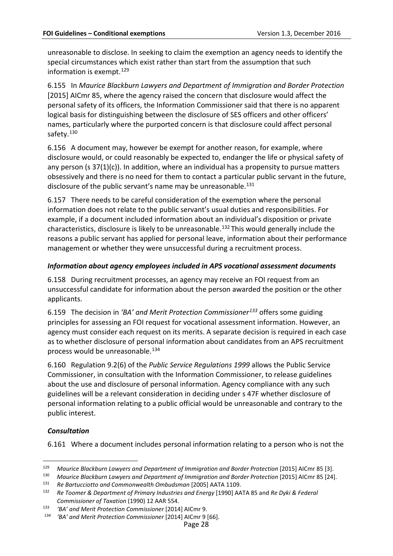unreasonable to disclose. In seeking to claim the exemption an agency needs to identify the special circumstances which exist rather than start from the assumption that such information is exempt.  $129$ 

6.155 In *Maurice Blackburn Lawyers and Department of Immigration and Border Protection* [2015] AICmr 85, where the agency raised the concern that disclosure would affect the personal safety of its officers, the Information Commissioner said that there is no apparent logical basis for distinguishing between the disclosure of SES officers and other officers' names, particularly where the purported concern is that disclosure could affect personal safety.<sup>[130](#page-29-4)</sup>

6.156 A document may, however be exempt for another reason, for example, where disclosure would, or could reasonably be expected to, endanger the life or physical safety of any person (s  $37(1)(c)$ ). In addition, where an individual has a propensity to pursue matters obsessively and there is no need for them to contact a particular public servant in the future, disclosure of the public servant's name may be unreasonable.<sup>[131](#page-29-5)</sup>

6.157 There needs to be careful consideration of the exemption where the personal information does not relate to the public servant's usual duties and responsibilities. For example, if a document included information about an individual's disposition or private characteristics, disclosure is likely to be unreasonable.<sup>[132](#page-29-6)</sup> This would generally include the reasons a public servant has applied for personal leave, information about their performance management or whether they were unsuccessful during a recruitment process.

#### <span id="page-29-0"></span>*Information about agency employees included in APS vocational assessment documents*

6.158 During recruitment processes, an agency may receive an FOI request from an unsuccessful candidate for information about the person awarded the position or the other applicants.

6.159 The decision in *'BA' and Merit Protection Commissioner[133](#page-29-7)* offers some guiding principles for assessing an FOI request for vocational assessment information. However, an agency must consider each request on its merits. A separate decision is required in each case as to whether disclosure of personal information about candidates from an APS recruitment process would be unreasonable.[134](#page-29-8)

6.160 Regulation 9.2(6) of the *Public Service Regulations 1999* allows the Public Service Commissioner, in consultation with the Information Commissioner, to release guidelines about the use and disclosure of personal information. Agency compliance with any such guidelines will be a relevant consideration in deciding under s 47F whether disclosure of personal information relating to a public official would be unreasonable and contrary to the public interest.

#### <span id="page-29-1"></span>*Consultation*

<span id="page-29-2"></span>6.161 Where a document includes personal information relating to a person who is not the

<span id="page-29-3"></span> <sup>129</sup> *Maurice Blackburn Lawyers and Department of Immigration and Border Protection* [2015] AICmr 85 [3].

<span id="page-29-4"></span><sup>130</sup> *Maurice Blackburn Lawyers and Department of Immigration and Border Protection* [2015] AICmr 85 [24].

<span id="page-29-5"></span><sup>131</sup> *Re Bartucciotto and Commonwealth Ombudsman* [2005] AATA 1109.

<span id="page-29-6"></span><sup>132</sup> *Re Toomer & Department of Primary Industries and Energy* [1990] AATA 85 and *Re Dyki & Federal Commissioner of Taxation* (1990) 12 AAR 554.

<span id="page-29-8"></span><span id="page-29-7"></span><sup>133</sup> *'BA' and Merit Protection Commissioner* [2014] AICmr 9.

<sup>134</sup> *'BA' and Merit Protection Commissioner* [2014] AICmr 9 [66].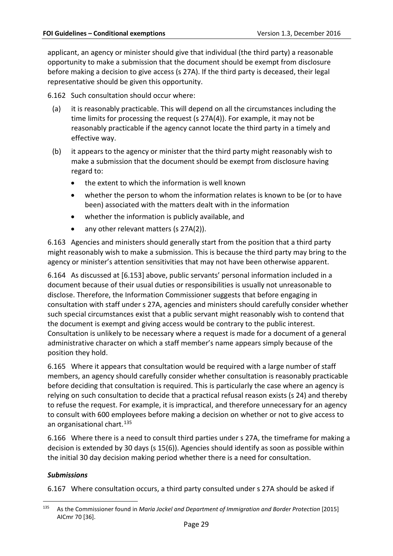applicant, an agency or minister should give that individual (the third party) a reasonable opportunity to make a submission that the document should be exempt from disclosure before making a decision to give access (s 27A). If the third party is deceased, their legal representative should be given this opportunity.

6.162 Such consultation should occur where:

- (a) it is reasonably practicable. This will depend on all the circumstances including the time limits for processing the request (s 27A(4)). For example, it may not be reasonably practicable if the agency cannot locate the third party in a timely and effective way.
- (b) it appears to the agency or minister that the third party might reasonably wish to make a submission that the document should be exempt from disclosure having regard to:
	- the extent to which the information is well known
	- whether the person to whom the information relates is known to be (or to have been) associated with the matters dealt with in the information
	- whether the information is publicly available, and
	- any other relevant matters (s 27A(2)).

6.163 Agencies and ministers should generally start from the position that a third party might reasonably wish to make a submission. This is because the third party may bring to the agency or minister's attention sensitivities that may not have been otherwise apparent.

6.164 As discussed at [\[6.153\]](#page-28-7) above, public servants' personal information included in a document because of their usual duties or responsibilities is usually not unreasonable to disclose. Therefore, the Information Commissioner suggests that before engaging in consultation with staff under s 27A, agencies and ministers should carefully consider whether such special circumstances exist that a public servant might reasonably wish to contend that the document is exempt and giving access would be contrary to the public interest. Consultation is unlikely to be necessary where a request is made for a document of a general administrative character on which a staff member's name appears simply because of the position they hold.

6.165 Where it appears that consultation would be required with a large number of staff members, an agency should carefully consider whether consultation is reasonably practicable before deciding that consultation is required. This is particularly the case where an agency is relying on such consultation to decide that a practical refusal reason exists (s 24) and thereby to refuse the request. For example, it is impractical, and therefore unnecessary for an agency to consult with 600 employees before making a decision on whether or not to give access to an organisational chart.<sup>[135](#page-30-1)</sup>

6.166 Where there is a need to consult third parties under s 27A, the timeframe for making a decision is extended by 30 days (s 15(6)). Agencies should identify as soon as possible within the initial 30 day decision making period whether there is a need for consultation.

#### <span id="page-30-0"></span>*Submissions*

6.167 Where consultation occurs, a third party consulted under s 27A should be asked if

<span id="page-30-1"></span> <sup>135</sup> As the Commissioner found in *Maria Jockel and Department of Immigration and Border Protection* [2015] AICmr 70 [36].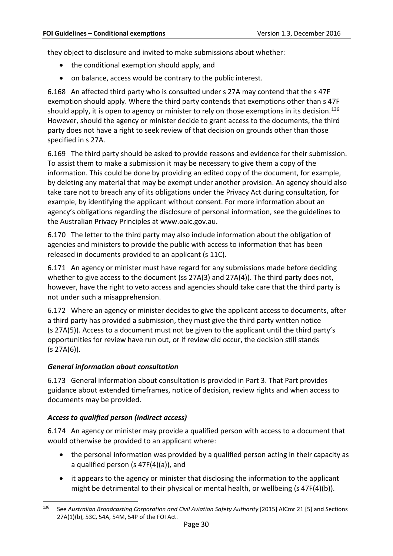they object to disclosure and invited to make submissions about whether:

- the conditional exemption should apply, and
- on balance, access would be contrary to the public interest.

6.168 An affected third party who is consulted under s 27A may contend that the s 47F exemption should apply. Where the third party contends that exemptions other than s 47F should apply, it is open to agency or minister to rely on those exemptions in its decision.<sup>[136](#page-31-3)</sup> However, should the agency or minister decide to grant access to the documents, the third party does not have a right to seek review of that decision on grounds other than those specified in s 27A.

6.169 The third party should be asked to provide reasons and evidence for their submission. To assist them to make a submission it may be necessary to give them a copy of the information. This could be done by providing an edited copy of the document, for example, by deleting any material that may be exempt under another provision. An agency should also take care not to breach any of its obligations under the Privacy Act during consultation*,* for example, by identifying the applicant without consent. For more information about an agency's obligations regarding the disclosure of personal information, see the guidelines to the Australian Privacy Principles at [www.oaic.gov.au.](http://www.privacy.gov.au/materials/types/download/8700/6538)

6.170 The letter to the third party may also include information about the obligation of agencies and ministers to provide the public with access to information that has been released in documents provided to an applicant (s 11C).

6.171 An agency or minister must have regard for any submissions made before deciding whether to give access to the document (ss 27A(3) and 27A(4)). The third party does not, however, have the right to veto access and agencies should take care that the third party is not under such a misapprehension.

6.172 Where an agency or minister decides to give the applicant access to documents, after a third party has provided a submission, they must give the third party written notice (s 27A(5)). Access to a document must not be given to the applicant until the third party's opportunities for review have run out, or if review did occur, the decision still stands  $(s 27A(6)).$ 

#### <span id="page-31-0"></span>*General information about consultation*

6.173 General information about consultation is provided in Part 3. That Part provides guidance about extended timeframes, notice of decision, review rights and when access to documents may be provided.

## <span id="page-31-1"></span>*Access to qualified person (indirect access)*

<span id="page-31-2"></span>6.174 An agency or minister may provide a qualified person with access to a document that would otherwise be provided to an applicant where:

- the personal information was provided by a qualified person acting in their capacity as a qualified person (s 47F(4)(a)), and
- it appears to the agency or minister that disclosing the information to the applicant might be detrimental to their physical or mental health, or wellbeing (s 47F(4)(b)).

<span id="page-31-3"></span><sup>&</sup>lt;sup>136</sup> See Australian Broadcasting Corporation and Civil Aviation Safety Authority [2015] AICmr 21 [5] and Sections 27A(1)(b), 53C, 54A, 54M, 54P of the FOI Act.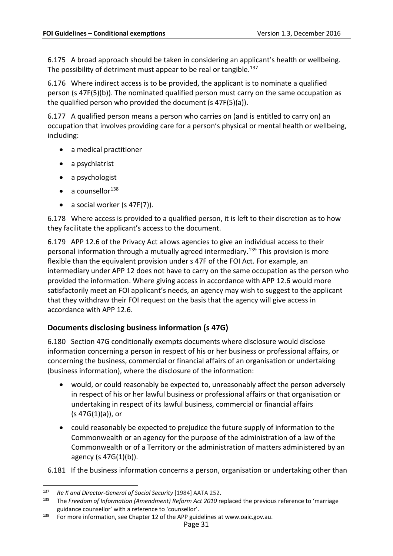6.175 A broad approach should be taken in considering an applicant's health or wellbeing. The possibility of detriment must appear to be real or tangible.<sup>[137](#page-32-3)</sup>

6.176 Where indirect access is to be provided, the applicant is to nominate a qualified person (s 47F(5)(b)). The nominated qualified person must carry on the same occupation as the qualified person who provided the document (s 47F(5)(a)).

6.177 A qualified person means a person who carries on (and is entitled to carry on) an occupation that involves providing care for a person's physical or mental health or wellbeing, including:

- a medical practitioner
- a psychiatrist
- a psychologist
- a counsellor $^{138}$  $^{138}$  $^{138}$
- a social worker  $(s 47F(7))$ .

6.178 Where access is provided to a qualified person, it is left to their discretion as to how they facilitate the applicant's access to the document.

6.179 APP 12.6 of the Privacy Act allows agencies to give an individual access to their personal information through a mutually agreed intermediary.[139](#page-32-5) This provision is more flexible than the equivalent provision under s 47F of the FOI Act. For example, an intermediary under APP 12 does not have to carry on the same occupation as the person who provided the information. Where giving access in accordance with APP 12.6 would more satisfactorily meet an FOI applicant's needs, an agency may wish to suggest to the applicant that they withdraw their FOI request on the basis that the agency will give access in accordance with APP 12.6.

## <span id="page-32-1"></span><span id="page-32-0"></span>**Documents disclosing business information (s 47G)**

<span id="page-32-2"></span>6.180 Section 47G conditionally exempts documents where disclosure would disclose information concerning a person in respect of his or her business or professional affairs, or concerning the business, commercial or financial affairs of an organisation or undertaking (business information), where the disclosure of the information:

- would, or could reasonably be expected to, unreasonably affect the person adversely in respect of his or her lawful business or professional affairs or that organisation or undertaking in respect of its lawful business, commercial or financial affairs (s 47G(1)(a)), or
- could reasonably be expected to prejudice the future supply of information to the Commonwealth or an agency for the purpose of the administration of a law of the Commonwealth or of a Territory or the administration of matters administered by an agency (s 47G(1)(b)).
- 6.181 If the business information concerns a person, organisation or undertaking other than

<span id="page-32-3"></span> <sup>137</sup> *Re <sup>K</sup> and Director-General of Social Security* [1984] AATA 252.

<span id="page-32-4"></span><sup>138</sup> The *Freedom of Information (Amendment) Reform Act 2010* replaced the previous reference to 'marriage guidance counsellor' with a reference to 'counsellor'.

<span id="page-32-5"></span><sup>139</sup> For more information, see Chapter 12 of the APP guidelines at [www.oaic.gov.au.](http://www.oaic.gov.au/)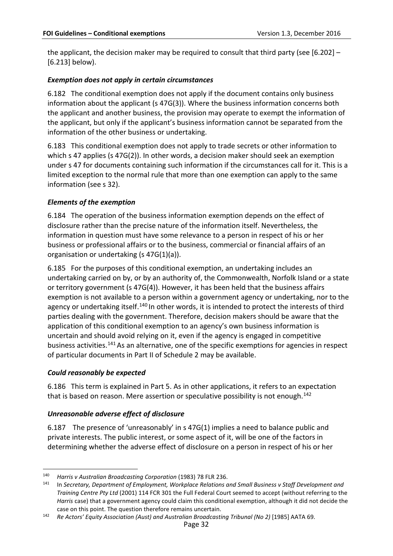the applicant, the decision maker may be required to consult that third party (see [\[6.202\]](#page-36-1) – [\[6.213\]](#page-38-3) below).

## <span id="page-33-0"></span>*Exemption does not apply in certain circumstances*

6.182 The conditional exemption does not apply if the document contains only business information about the applicant (s 47G(3)). Where the business information concerns both the applicant and another business, the provision may operate to exempt the information of the applicant, but only if the applicant's business information cannot be separated from the information of the other business or undertaking.

6.183 This conditional exemption does not apply to trade secrets or other information to which s 47 applies (s 47G(2)). In other words, a decision maker should seek an exemption under s 47 for documents containing such information if the circumstances call for it. This is a limited exception to the normal rule that more than one exemption can apply to the same information (see s 32).

#### <span id="page-33-1"></span>*Elements of the exemption*

6.184 The operation of the business information exemption depends on the effect of disclosure rather than the precise nature of the information itself. Nevertheless, the information in question must have some relevance to a person in respect of his or her business or professional affairs or to the business, commercial or financial affairs of an organisation or undertaking (s 47G(1)(a)).

6.185 For the purposes of this conditional exemption, an undertaking includes an undertaking carried on by, or by an authority of, the Commonwealth, Norfolk Island or a state or territory government (s 47G(4)). However, it has been held that the business affairs exemption is not available to a person within a government agency or undertaking, nor to the agency or undertaking itself.<sup>[140](#page-33-4)</sup> In other words, it is intended to protect the interests of third parties dealing with the government. Therefore, decision makers should be aware that the application of this conditional exemption to an agency's own business information is uncertain and should avoid relying on it, even if the agency is engaged in competitive business activities.[141](#page-33-5) As an alternative, one of the specific exemptions for agencies in respect of particular documents in Part II of Schedule 2 may be available.

#### <span id="page-33-2"></span>*Could reasonably be expected*

6.186 This term is explained in Part 5. As in other applications, it refers to an expectation that is based on reason. Mere assertion or speculative possibility is not enough.<sup>[142](#page-33-6)</sup>

#### <span id="page-33-3"></span>*Unreasonable adverse effect of disclosure*

6.187 The presence of 'unreasonably' in s 47G(1) implies a need to balance public and private interests. The public interest, or some aspect of it, will be one of the factors in determining whether the adverse effect of disclosure on a person in respect of his or her

<span id="page-33-4"></span> <sup>140</sup> *Harris v Australian Broadcasting Corporation* (1983) 78 FLR 236.

<span id="page-33-5"></span><sup>141</sup> In *Secretary, Department of Employment, Workplace Relations and Small Business v Staff Development and Training Centre Pty Ltd* (2001) 114 FCR 301 the Full Federal Court seemed to accept (without referring to the *Harris* case) that a government agency could claim this conditional exemption, although it did not decide the case on this point. The question therefore remains uncertain.

<span id="page-33-6"></span><sup>142</sup> *Re Actors' Equity Association (Aust) and Australian Broadcasting Tribunal (No 2)* [1985] AATA 69.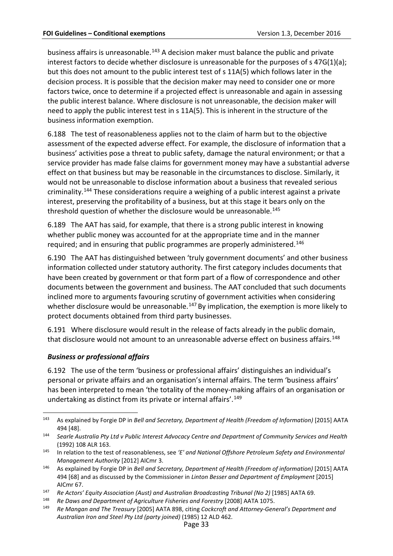business affairs is unreasonable. [143](#page-34-1) A decision maker must balance the public and private interest factors to decide whether disclosure is unreasonable for the purposes of s 47G(1)(a); but this does not amount to the public interest test of s 11A(5) which follows later in the decision process. It is possible that the decision maker may need to consider one or more factors twice, once to determine if a projected effect is unreasonable and again in assessing the public interest balance. Where disclosure is not unreasonable, the decision maker will need to apply the public interest test in s 11A(5). This is inherent in the structure of the business information exemption.

6.188 The test of reasonableness applies not to the claim of harm but to the objective assessment of the expected adverse effect. For example, the disclosure of information that a business' activities pose a threat to public safety, damage the natural environment; or that a service provider has made false claims for government money may have a substantial adverse effect on that business but may be reasonable in the circumstances to disclose. Similarly, it would not be unreasonable to disclose information about a business that revealed serious criminality.[144](#page-34-2) These considerations require a weighing of a public interest against a private interest, preserving the profitability of a business, but at this stage it bears only on the threshold question of whether the disclosure would be unreasonable.<sup>[145](#page-34-3)</sup>

6.189 The AAT has said, for example, that there is a strong public interest in knowing whether public money was accounted for at the appropriate time and in the manner required; and in ensuring that public programmes are properly administered.<sup>[146](#page-34-4)</sup>

6.190 The AAT has distinguished between 'truly government documents' and other business information collected under statutory authority. The first category includes documents that have been created by government or that form part of a flow of correspondence and other documents between the government and business. The AAT concluded that such documents inclined more to arguments favouring scrutiny of government activities when considering whether disclosure would be unreasonable.<sup>[147](#page-34-5)</sup> By implication, the exemption is more likely to protect documents obtained from third party businesses.

6.191 Where disclosure would result in the release of facts already in the public domain, that disclosure would not amount to an unreasonable adverse effect on business affairs.<sup>[148](#page-34-6)</sup>

## <span id="page-34-0"></span>*Business or professional affairs*

6.192 The use of the term 'business or professional affairs' distinguishes an individual's personal or private affairs and an organisation's internal affairs. The term 'business affairs' has been interpreted to mean 'the totality of the money-making affairs of an organisation or undertaking as distinct from its private or internal affairs'. [149](#page-34-7)

<span id="page-34-1"></span> <sup>143</sup> As explained by Forgie DP in *Bell and Secretary, Department of Health (Freedom of Information)* [2015] AATA 494 [48].

<span id="page-34-2"></span><sup>144</sup> *Searle Australia Pty Ltd v Public Interest Advocacy Centre and Department of Community Services and Health* (1992) 108 ALR 163.

<span id="page-34-3"></span><sup>145</sup> In relation to the test of reasonableness, see *'E' and National Offshore Petroleum Safety and Environmental Management Authority* [2012] AICmr 3.

<span id="page-34-4"></span><sup>146</sup> As explained by Forgie DP in *Bell and Secretary, Department of Health (Freedom of information)* [2015] AATA 494 [68] and as discussed by the Commissioner in *Linton Besser and Department of Employment* [2015] AICmr 67.

<span id="page-34-5"></span><sup>147</sup> *Re Actors' Equity Association (Aust) and Australian Broadcasting Tribunal (No 2)* [1985] AATA 69.

<span id="page-34-7"></span><span id="page-34-6"></span><sup>148</sup> *Re Daws and Department of Agriculture Fisheries and Forestry* [2008] AATA 1075.

<sup>149</sup> *Re Mangan and The Treasury* [2005] AATA 898, citing *Cockcroft and Attorney-General's Department and Australian Iron and Steel Pty Ltd (party joined)* (1985) 12 ALD 462.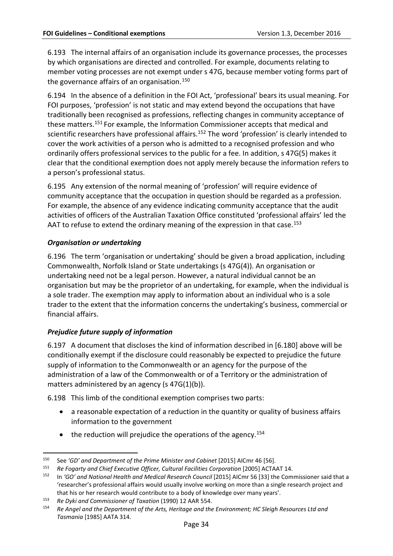6.193 The internal affairs of an organisation include its governance processes, the processes by which organisations are directed and controlled. For example, documents relating to member voting processes are not exempt under s 47G, because member voting forms part of the governance affairs of an organisation.<sup>[150](#page-35-2)</sup>

6.194 In the absence of a definition in the FOI Act, 'professional' bears its usual meaning. For FOI purposes, 'profession' is not static and may extend beyond the occupations that have traditionally been recognised as professions, reflecting changes in community acceptance of these matters[.151](#page-35-3) For example, the Information Commissioner accepts that medical and scientific researchers have professional affairs.<sup>[152](#page-35-4)</sup> The word 'profession' is clearly intended to cover the work activities of a person who is admitted to a recognised profession and who ordinarily offers professional services to the public for a fee. In addition, s 47G(5) makes it clear that the conditional exemption does not apply merely because the information refers to a person's professional status.

6.195 Any extension of the normal meaning of 'profession' will require evidence of community acceptance that the occupation in question should be regarded as a profession. For example, the absence of any evidence indicating community acceptance that the audit activities of officers of the Australian Taxation Office constituted 'professional affairs' led the AAT to refuse to extend the ordinary meaning of the expression in that case.<sup>[153](#page-35-5)</sup>

#### <span id="page-35-0"></span>*Organisation or undertaking*

6.196 The term 'organisation or undertaking' should be given a broad application, including Commonwealth, Norfolk Island or State undertakings (s 47G(4)). An organisation or undertaking need not be a legal person. However, a natural individual cannot be an organisation but may be the proprietor of an undertaking, for example, when the individual is a sole trader. The exemption may apply to information about an individual who is a sole trader to the extent that the information concerns the undertaking's business, commercial or financial affairs.

## <span id="page-35-1"></span>*Prejudice future supply of information*

6.197 A document that discloses the kind of information described in [\[6.180\]](#page-32-2) above will be conditionally exempt if the disclosure could reasonably be expected to prejudice the future supply of information to the Commonwealth or an agency for the purpose of the administration of a law of the Commonwealth or of a Territory or the administration of matters administered by an agency (s 47G(1)(b)).

6.198 This limb of the conditional exemption comprises two parts:

- a reasonable expectation of a reduction in the quantity or quality of business affairs information to the government
- $\bullet$  the reduction will prejudice the operations of the agency.<sup>[154](#page-35-6)</sup>

<span id="page-35-2"></span> <sup>150</sup> See *'GD' and Department of the Prime Minister and Cabinet* [2015] AICmr 46 [56].

<span id="page-35-3"></span><sup>151</sup> *Re Fogarty and Chief Executive Officer, Cultural Facilities Corporation* [2005] ACTAAT 14.

<span id="page-35-4"></span><sup>152</sup> In *'GO' and National Health and Medical Research Council* [2015] AICmr 56 [33] the Commissioner said that a 'researcher's professional affairs would usually involve working on more than a single research project and that his or her research would contribute to a body of knowledge over many years'.

<span id="page-35-6"></span><span id="page-35-5"></span><sup>153</sup> *Re Dyki and Commissioner of Taxation* (1990) 12 AAR 554.

<sup>154</sup> *Re Angel and the Department of the Arts, Heritage and the Environment; HC Sleigh Resources Ltd and Tasmania* [1985] AATA 314.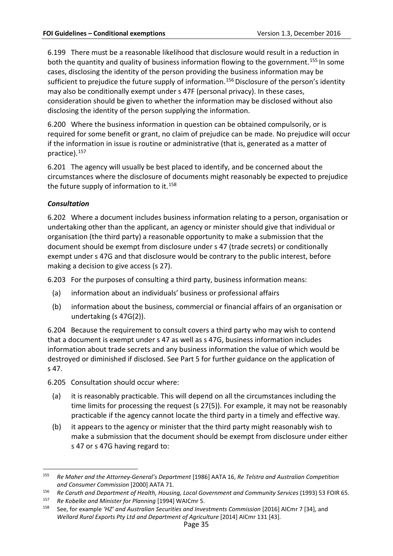6.199 There must be a reasonable likelihood that disclosure would result in a reduction in both the quantity and quality of business information flowing to the government.<sup>[155](#page-36-2)</sup> In some cases, disclosing the identity of the person providing the business information may be sufficient to prejudice the future supply of information.<sup>156</sup> Disclosure of the person's identity may also be conditionally exempt under s 47F (personal privacy). In these cases, consideration should be given to whether the information may be disclosed without also disclosing the identity of the person supplying the information.

6.200 Where the business information in question can be obtained compulsorily, or is required for some benefit or grant, no claim of prejudice can be made. No prejudice will occur if the information in issue is routine or administrative (that is, generated as a matter of practice).[157](#page-36-4)

6.201 The agency will usually be best placed to identify, and be concerned about the circumstances where the disclosure of documents might reasonably be expected to prejudice the future supply of information to it.<sup>158</sup>

## <span id="page-36-0"></span>*Consultation*

<span id="page-36-1"></span>6.202 Where a document includes business information relating to a person, organisation or undertaking other than the applicant, an agency or minister should give that individual or organisation (the third party) a reasonable opportunity to make a submission that the document should be exempt from disclosure under s 47 (trade secrets) or conditionally exempt under s 47G and that disclosure would be contrary to the public interest, before making a decision to give access (s 27).

6.203 For the purposes of consulting a third party, business information means:

- (a) information about an individuals' business or professional affairs
- (b) information about the business, commercial or financial affairs of an organisation or undertaking (s 47G(2)).

6.204 Because the requirement to consult covers a third party who may wish to contend that a document is exempt under s 47 as well as s 47G, business information includes information about trade secrets and any business information the value of which would be destroyed or diminished if disclosed. See Part 5 for further guidance on the application of s 47.

6.205 Consultation should occur where:

- (a) it is reasonably practicable. This will depend on all the circumstances including the time limits for processing the request (s 27(5)). For example, it may not be reasonably practicable if the agency cannot locate the third party in a timely and effective way.
- (b) it appears to the agency or minister that the third party might reasonably wish to make a submission that the document should be exempt from disclosure under either s 47 or s 47G having regard to:

<span id="page-36-2"></span> <sup>155</sup> *Re Maher and the Attorney-General's Department* [1986] AATA 16, *Re Telstra and Australian Competition and Consumer Commission* [2000] AATA 71.

<span id="page-36-3"></span><sup>156</sup> *Re Caruth and Department of Health, Housing, Local Government and Community Services* (1993) 53 FOIR 65.

<span id="page-36-5"></span><span id="page-36-4"></span><sup>157</sup> *Re Kobelke and Minister for Planning* [1994] WAICmr 5.

<sup>158</sup> See, for example *'HZ' and Australian Securities and Investments Commission* [2016] AICmr 7 [34], and *Wellard Rural Exports Pty Ltd and Department of Agriculture* [2014] AICmr 131 [43].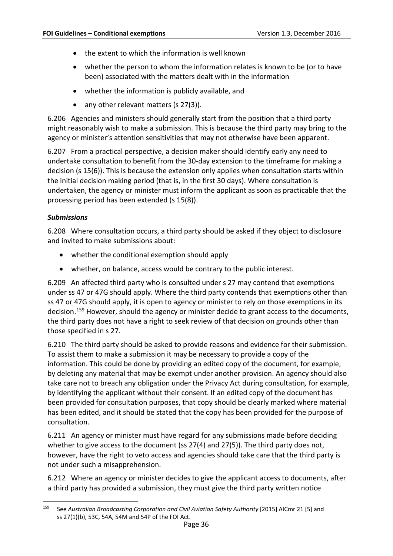- the extent to which the information is well known
- whether the person to whom the information relates is known to be (or to have been) associated with the matters dealt with in the information
- whether the information is publicly available, and
- any other relevant matters (s 27(3)).

6.206 Agencies and ministers should generally start from the position that a third party might reasonably wish to make a submission. This is because the third party may bring to the agency or minister's attention sensitivities that may not otherwise have been apparent.

6.207 From a practical perspective, a decision maker should identify early any need to undertake consultation to benefit from the 30-day extension to the timeframe for making a decision (s 15(6)). This is because the extension only applies when consultation starts within the initial decision making period (that is, in the first 30 days). Where consultation is undertaken, the agency or minister must inform the applicant as soon as practicable that the processing period has been extended (s 15(8)).

#### <span id="page-37-0"></span>*Submissions*

6.208 Where consultation occurs, a third party should be asked if they object to disclosure and invited to make submissions about:

- whether the conditional exemption should apply
- whether, on balance, access would be contrary to the public interest.

6.209 An affected third party who is consulted under s 27 may contend that exemptions under ss 47 or 47G should apply. Where the third party contends that exemptions other than ss 47 or 47G should apply, it is open to agency or minister to rely on those exemptions in its decision.[159](#page-37-1) However, should the agency or minister decide to grant access to the documents, the third party does not have a right to seek review of that decision on grounds other than those specified in s 27.

6.210 The third party should be asked to provide reasons and evidence for their submission. To assist them to make a submission it may be necessary to provide a copy of the information. This could be done by providing an edited copy of the document, for example, by deleting any material that may be exempt under another provision. An agency should also take care not to breach any obligation under the Privacy Act during consultation*,* for example, by identifying the applicant without their consent. If an edited copy of the document has been provided for consultation purposes, that copy should be clearly marked where material has been edited, and it should be stated that the copy has been provided for the purpose of consultation.

6.211 An agency or minister must have regard for any submissions made before deciding whether to give access to the document (ss 27(4) and 27(5)). The third party does not, however, have the right to veto access and agencies should take care that the third party is not under such a misapprehension.

6.212 Where an agency or minister decides to give the applicant access to documents, after a third party has provided a submission, they must give the third party written notice

<span id="page-37-1"></span> <sup>159</sup> See *Australian Broadcasting Corporation and Civil Aviation Safety Authority* [2015] AICmr 21 [5] and ss 27(1)(b), 53C, 54A, 54M and 54P of the FOI Act.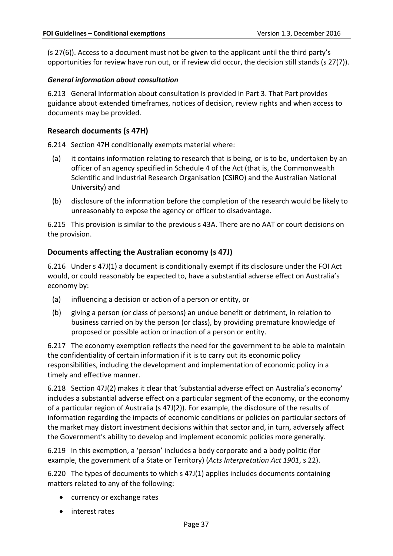(s 27(6)). Access to a document must not be given to the applicant until the third party's opportunities for review have run out, or if review did occur, the decision still stands (s 27(7)).

#### <span id="page-38-0"></span>*General information about consultation*

<span id="page-38-3"></span>6.213 General information about consultation is provided in Part 3. That Part provides guidance about extended timeframes, notices of decision, review rights and when access to documents may be provided.

## <span id="page-38-1"></span>**Research documents (s 47H)**

<span id="page-38-4"></span>6.214 Section 47H conditionally exempts material where:

- (a) it contains information relating to research that is being, or is to be, undertaken by an officer of an agency specified in Schedule 4 of the Act (that is, the Commonwealth Scientific and Industrial Research Organisation (CSIRO) and the Australian National University) and
- (b) disclosure of the information before the completion of the research would be likely to unreasonably to expose the agency or officer to disadvantage.

<span id="page-38-5"></span>6.215 This provision is similar to the previous s 43A. There are no AAT or court decisions on the provision.

#### <span id="page-38-2"></span>**Documents affecting the Australian economy (s 47J)**

6.216 Under s 47J(1) a document is conditionally exempt if its disclosure under the FOI Act would, or could reasonably be expected to, have a substantial adverse effect on Australia's economy by:

- (a) influencing a decision or action of a person or entity, or
- (b) giving a person (or class of persons) an undue benefit or detriment, in relation to business carried on by the person (or class), by providing premature knowledge of proposed or possible action or inaction of a person or entity.

6.217 The economy exemption reflects the need for the government to be able to maintain the confidentiality of certain information if it is to carry out its economic policy responsibilities, including the development and implementation of economic policy in a timely and effective manner.

6.218 Section 47J(2) makes it clear that 'substantial adverse effect on Australia's economy' includes a substantial adverse effect on a particular segment of the economy, or the economy of a particular region of Australia (s 47J(2)). For example, the disclosure of the results of information regarding the impacts of economic conditions or policies on particular sectors of the market may distort investment decisions within that sector and, in turn, adversely affect the Government's ability to develop and implement economic policies more generally.

6.219 In this exemption, a 'person' includes a body corporate and a body politic (for example, the government of a State or Territory) (*Acts Interpretation Act 1901*, s 22).

6.220 The types of documents to which s 47J(1) applies includes documents containing matters related to any of the following:

- currency or exchange rates
- interest rates